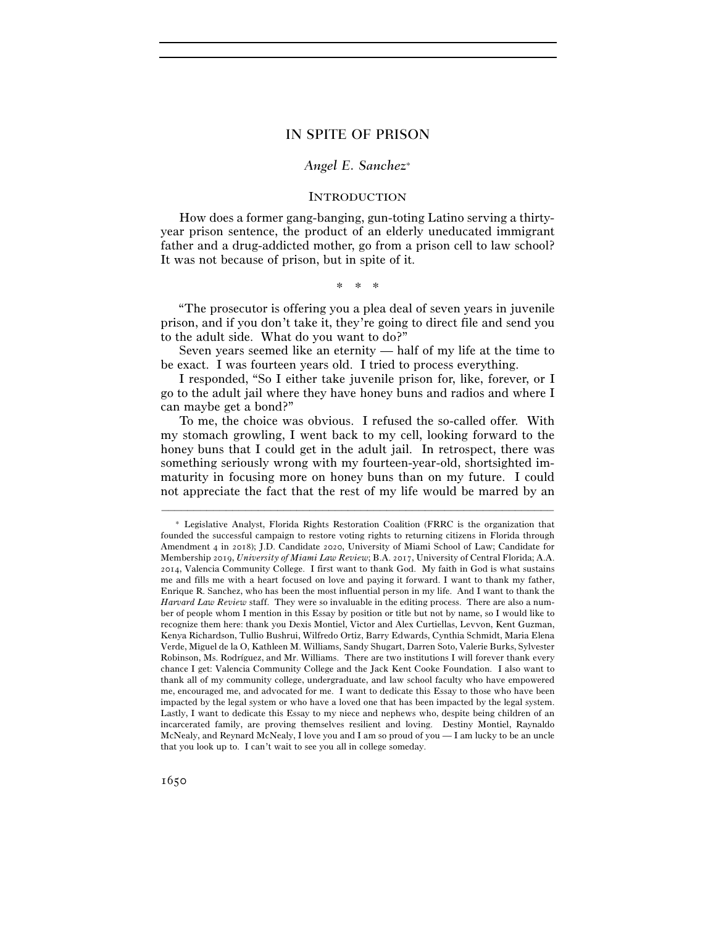# IN SPITE OF PRISON

## *Angel E. Sanchez*<sup>∗</sup>

### **INTRODUCTION**

How does a former gang-banging, gun-toting Latino serving a thirtyyear prison sentence, the product of an elderly uneducated immigrant father and a drug-addicted mother, go from a prison cell to law school? It was not because of prison, but in spite of it.

\* \* \*

"The prosecutor is offering you a plea deal of seven years in juvenile prison, and if you don't take it, they're going to direct file and send you to the adult side. What do you want to do?"

Seven years seemed like an eternity — half of my life at the time to be exact. I was fourteen years old. I tried to process everything.

I responded, "So I either take juvenile prison for, like, forever, or I go to the adult jail where they have honey buns and radios and where I can maybe get a bond?"

To me, the choice was obvious. I refused the so-called offer. With my stomach growling, I went back to my cell, looking forward to the honey buns that I could get in the adult jail. In retrospect, there was something seriously wrong with my fourteen-year-old, shortsighted immaturity in focusing more on honey buns than on my future. I could not appreciate the fact that the rest of my life would be marred by an

<sup>∗</sup> Legislative Analyst, Florida Rights Restoration Coalition (FRRC is the organization that founded the successful campaign to restore voting rights to returning citizens in Florida through Amendment 4 in 2018); J.D. Candidate 2020, University of Miami School of Law; Candidate for Membership 2019, *University of Miami Law Review*; B.A. 2017, University of Central Florida; A.A. 2014, Valencia Community College. I first want to thank God. My faith in God is what sustains me and fills me with a heart focused on love and paying it forward. I want to thank my father, Enrique R. Sanchez, who has been the most influential person in my life. And I want to thank the *Harvard Law Review* staff. They were so invaluable in the editing process. There are also a number of people whom I mention in this Essay by position or title but not by name, so I would like to recognize them here: thank you Dexis Montiel, Victor and Alex Curtiellas, Levvon, Kent Guzman, Kenya Richardson, Tullio Bushrui, Wilfredo Ortiz, Barry Edwards, Cynthia Schmidt, Maria Elena Verde, Miguel de la O, Kathleen M. Williams, Sandy Shugart, Darren Soto, Valerie Burks, Sylvester Robinson, Ms. Rodríguez, and Mr. Williams. There are two institutions I will forever thank every chance I get: Valencia Community College and the Jack Kent Cooke Foundation. I also want to thank all of my community college, undergraduate, and law school faculty who have empowered me, encouraged me, and advocated for me. I want to dedicate this Essay to those who have been impacted by the legal system or who have a loved one that has been impacted by the legal system. Lastly, I want to dedicate this Essay to my niece and nephews who, despite being children of an incarcerated family, are proving themselves resilient and loving. Destiny Montiel, Raynaldo McNealy, and Reynard McNealy, I love you and I am so proud of you — I am lucky to be an uncle that you look up to. I can't wait to see you all in college someday.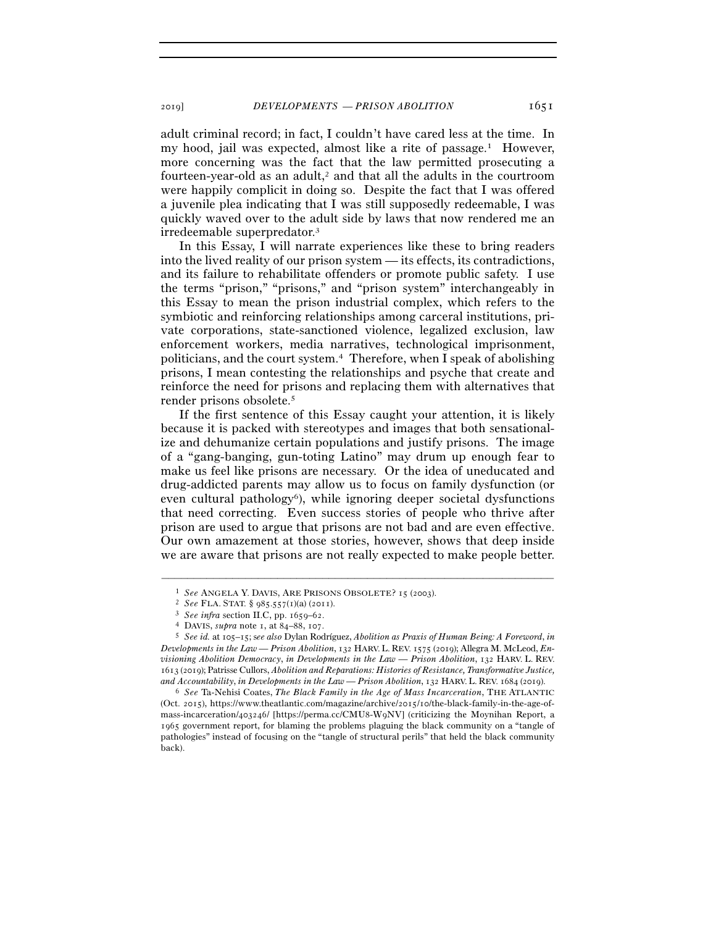adult criminal record; in fact, I couldn't have cared less at the time. In my hood, jail was expected, almost like a rite of passage.1 However, more concerning was the fact that the law permitted prosecuting a fourteen-year-old as an adult, $\lambda^2$  and that all the adults in the courtroom were happily complicit in doing so. Despite the fact that I was offered a juvenile plea indicating that I was still supposedly redeemable, I was quickly waved over to the adult side by laws that now rendered me an irredeemable superpredator.3

In this Essay, I will narrate experiences like these to bring readers into the lived reality of our prison system — its effects, its contradictions, and its failure to rehabilitate offenders or promote public safety. I use the terms "prison," "prisons," and "prison system" interchangeably in this Essay to mean the prison industrial complex, which refers to the symbiotic and reinforcing relationships among carceral institutions, private corporations, state-sanctioned violence, legalized exclusion, law enforcement workers, media narratives, technological imprisonment, politicians, and the court system.4 Therefore, when I speak of abolishing prisons, I mean contesting the relationships and psyche that create and reinforce the need for prisons and replacing them with alternatives that render prisons obsolete.5

If the first sentence of this Essay caught your attention, it is likely because it is packed with stereotypes and images that both sensationalize and dehumanize certain populations and justify prisons. The image of a "gang-banging, gun-toting Latino" may drum up enough fear to make us feel like prisons are necessary. Or the idea of uneducated and drug-addicted parents may allow us to focus on family dysfunction (or even cultural pathology<sup>6</sup>), while ignoring deeper societal dysfunctions that need correcting. Even success stories of people who thrive after prison are used to argue that prisons are not bad and are even effective. Our own amazement at those stories, however, shows that deep inside we are aware that prisons are not really expected to make people better.

–––––––––––––––––––––––––––––––––––––––––––––––––––––––––––––

(Oct. 2015), https://www.theatlantic.com/magazine/archive/2015/10/the-black-family-in-the-age-ofmass-incarceration/403246/ [https://perma.cc/CMU8-W9NV] (criticizing the Moynihan Report, a 1965 government report, for blaming the problems plaguing the black community on a "tangle of pathologies" instead of focusing on the "tangle of structural perils" that held the black community back).

 $\footnotesize\begin{array}{ll} \text{1} \quad \text{See ANGELA Y. DAVIS, ARE PRISONS OBSOLETE? 15 (2003).}\\ \text{2} \quad \text{See FLA. STAT. § 985.557(1)(a) (2011).}\\ \text{3} \quad \text{See } \text{infra section IIC, pp. 1659–62.}\\ \text{4} \quad \text{DAVIS, } \text{supra note 1, at 84–88, 107.}\\ \text{5} \quad \text{See } id. \text{ at 105–15; see also Dylan Rodriguez, Abolition as Praxis of Human Being: A Foreword, in} \end{array}$ *Developments in the Law — Prison Abolition*, 132 HARV.L. REV. 1575 (2019); Allegra M. McLeod, *Envisioning Abolition Democracy*, *in Developments in the Law — Prison Abolition*, 132 HARV. L. REV. 1613 (2019); Patrisse Cullors, *Abolition and Reparations: Histories of Resistance, Transformative Justice, and Accountability*, *in Developments in the Law — Prison Abolition*, 132 HARV. L. REV. 1684 (<sup>2019</sup>). 6 *See* Ta-Nehisi Coates, *The Black Family in the Age of Mass Incarceration*, THE ATLANTIC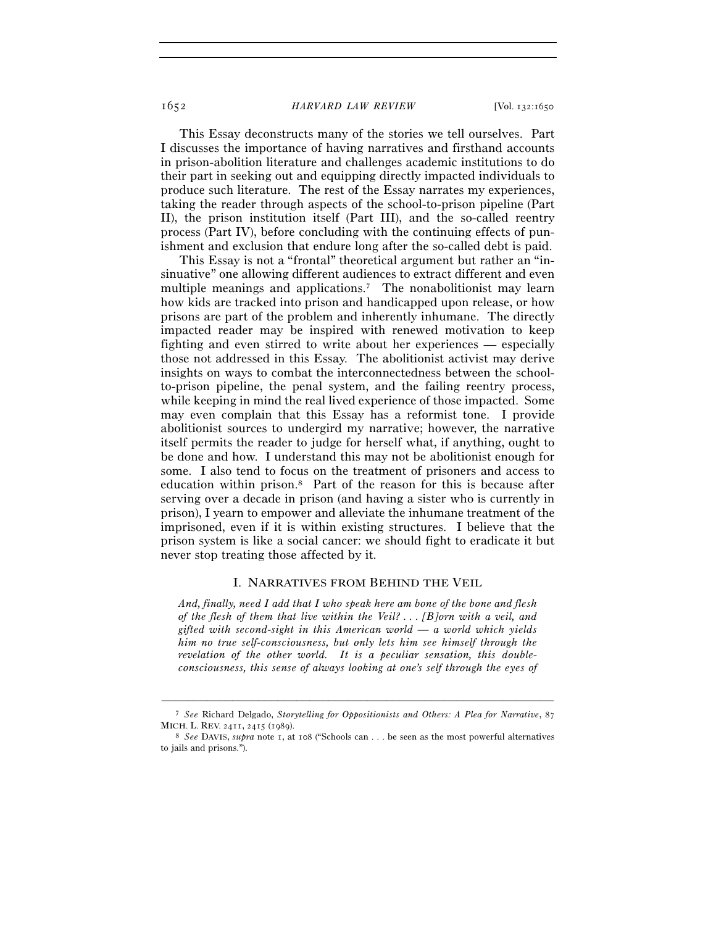This Essay deconstructs many of the stories we tell ourselves. Part I discusses the importance of having narratives and firsthand accounts in prison-abolition literature and challenges academic institutions to do their part in seeking out and equipping directly impacted individuals to produce such literature. The rest of the Essay narrates my experiences, taking the reader through aspects of the school-to-prison pipeline (Part II), the prison institution itself (Part III), and the so-called reentry process (Part IV), before concluding with the continuing effects of punishment and exclusion that endure long after the so-called debt is paid.

This Essay is not a "frontal" theoretical argument but rather an "insinuative" one allowing different audiences to extract different and even multiple meanings and applications.<sup>7</sup> The nonabolitionist may learn how kids are tracked into prison and handicapped upon release, or how prisons are part of the problem and inherently inhumane. The directly impacted reader may be inspired with renewed motivation to keep fighting and even stirred to write about her experiences — especially those not addressed in this Essay. The abolitionist activist may derive insights on ways to combat the interconnectedness between the schoolto-prison pipeline, the penal system, and the failing reentry process, while keeping in mind the real lived experience of those impacted. Some may even complain that this Essay has a reformist tone. I provide abolitionist sources to undergird my narrative; however, the narrative itself permits the reader to judge for herself what, if anything, ought to be done and how. I understand this may not be abolitionist enough for some. I also tend to focus on the treatment of prisoners and access to education within prison.8 Part of the reason for this is because after serving over a decade in prison (and having a sister who is currently in prison), I yearn to empower and alleviate the inhumane treatment of the imprisoned, even if it is within existing structures. I believe that the prison system is like a social cancer: we should fight to eradicate it but never stop treating those affected by it.

#### I. NARRATIVES FROM BEHIND THE VEIL

*And, finally, need I add that I who speak here am bone of the bone and flesh of the flesh of them that live within the Veil? . . . [B]orn with a veil, and gifted with second-sight in this American world — a world which yields him no true self-consciousness, but only lets him see himself through the revelation of the other world. It is a peculiar sensation, this doubleconsciousness, this sense of always looking at one's self through the eyes of* 

<sup>–––––––––––––––––––––––––––––––––––––––––––––––––––––––––––––</sup> <sup>7</sup> *See* Richard Delgado, *Storytelling for Oppositionists and Others: A Plea for Narrative*, 87 MICH. L. REV. <sup>2411</sup>, 2415 (<sup>1989</sup>). 8 *See* DAVIS, *supra* note 1, at 108 ("Schools can . . . be seen as the most powerful alternatives

to jails and prisons.").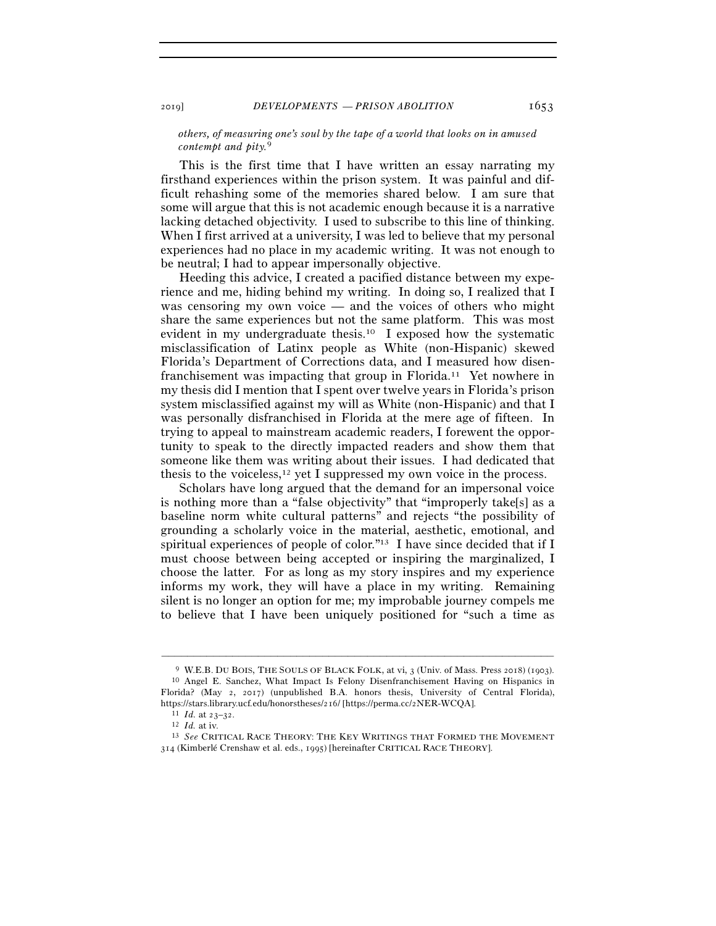## *others, of measuring one's soul by the tape of a world that looks on in amused contempt and pity.*9

This is the first time that I have written an essay narrating my firsthand experiences within the prison system. It was painful and difficult rehashing some of the memories shared below. I am sure that some will argue that this is not academic enough because it is a narrative lacking detached objectivity. I used to subscribe to this line of thinking. When I first arrived at a university, I was led to believe that my personal experiences had no place in my academic writing. It was not enough to be neutral; I had to appear impersonally objective.

Heeding this advice, I created a pacified distance between my experience and me, hiding behind my writing. In doing so, I realized that I was censoring my own voice — and the voices of others who might share the same experiences but not the same platform. This was most evident in my undergraduate thesis.10 I exposed how the systematic misclassification of Latinx people as White (non-Hispanic) skewed Florida's Department of Corrections data, and I measured how disenfranchisement was impacting that group in Florida.11 Yet nowhere in my thesis did I mention that I spent over twelve years in Florida's prison system misclassified against my will as White (non-Hispanic) and that I was personally disfranchised in Florida at the mere age of fifteen. In trying to appeal to mainstream academic readers, I forewent the opportunity to speak to the directly impacted readers and show them that someone like them was writing about their issues. I had dedicated that thesis to the voiceless,<sup>12</sup> yet I suppressed my own voice in the process.

Scholars have long argued that the demand for an impersonal voice is nothing more than a "false objectivity" that "improperly take[s] as a baseline norm white cultural patterns" and rejects "the possibility of grounding a scholarly voice in the material, aesthetic, emotional, and spiritual experiences of people of color."13 I have since decided that if I must choose between being accepted or inspiring the marginalized, I choose the latter. For as long as my story inspires and my experience informs my work, they will have a place in my writing. Remaining silent is no longer an option for me; my improbable journey compels me to believe that I have been uniquely positioned for "such a time as

<sup>9</sup> W.E.B. DU BOIS, THE SOULS OF BLACK FOLK, at vi, 3 (Univ. of Mass. Press 2018) (<sup>1903</sup>). 10 Angel E. Sanchez, What Impact Is Felony Disenfranchisement Having on Hispanics in Florida? (May 2, 2017) (unpublished B.A. honors thesis, University of Central Florida), https://stars.library.ucf.edu/honorstheses/216/ [https://perma.cc/2NER-WCQA].<br><sup>11</sup> *Id.* at <sup>23</sup>–32.<br><sup>12</sup> *Id.* at iv. 13 *See* CRITICAL RACE THEORY: THE KEY WRITINGS THAT FORMED THE MOVEMENT

<sup>314</sup> (Kimberlé Crenshaw et al. eds., 1995) [hereinafter CRITICAL RACE THEORY].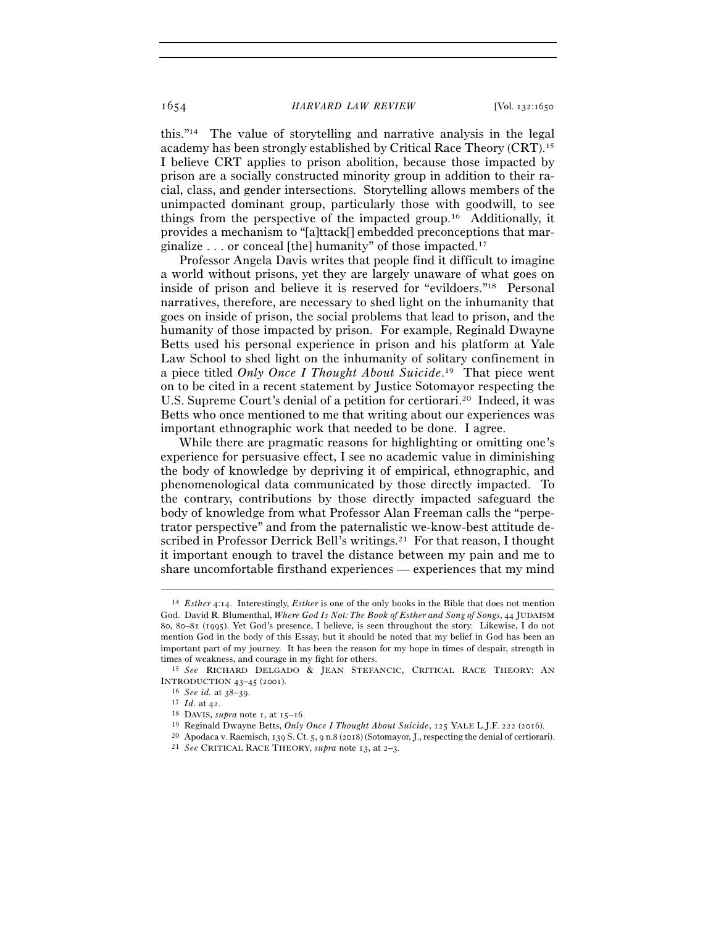this."14 The value of storytelling and narrative analysis in the legal academy has been strongly established by Critical Race Theory (CRT).15 I believe CRT applies to prison abolition, because those impacted by prison are a socially constructed minority group in addition to their racial, class, and gender intersections. Storytelling allows members of the unimpacted dominant group, particularly those with goodwill, to see things from the perspective of the impacted group.16 Additionally, it provides a mechanism to "[a]ttack[] embedded preconceptions that marginalize . . . or conceal [the] humanity" of those impacted.17

Professor Angela Davis writes that people find it difficult to imagine a world without prisons, yet they are largely unaware of what goes on inside of prison and believe it is reserved for "evildoers."18 Personal narratives, therefore, are necessary to shed light on the inhumanity that goes on inside of prison, the social problems that lead to prison, and the humanity of those impacted by prison. For example, Reginald Dwayne Betts used his personal experience in prison and his platform at Yale Law School to shed light on the inhumanity of solitary confinement in a piece titled *Only Once I Thought About Suicide*. 19 That piece went on to be cited in a recent statement by Justice Sotomayor respecting the U.S. Supreme Court's denial of a petition for certiorari.<sup>20</sup> Indeed, it was Betts who once mentioned to me that writing about our experiences was important ethnographic work that needed to be done. I agree.

While there are pragmatic reasons for highlighting or omitting one's experience for persuasive effect, I see no academic value in diminishing the body of knowledge by depriving it of empirical, ethnographic, and phenomenological data communicated by those directly impacted. To the contrary, contributions by those directly impacted safeguard the body of knowledge from what Professor Alan Freeman calls the "perpetrator perspective" and from the paternalistic we-know-best attitude described in Professor Derrick Bell's writings.<sup>21</sup> For that reason, I thought it important enough to travel the distance between my pain and me to share uncomfortable firsthand experiences — experiences that my mind

<sup>14</sup> *Esther* 4:14. Interestingly, *Esther* is one of the only books in the Bible that does not mention God. David R. Blumenthal, *Where God Is Not: The Book of Esther and Song of Songs*, 44 JUDAISM 80, 80–81 (1995). Yet God's presence, I believe, is seen throughout the story. Likewise, I do not mention God in the body of this Essay, but it should be noted that my belief in God has been an important part of my journey. It has been the reason for my hope in times of despair, strength in

times of weakness, and courage in my fight for others.<br><sup>15</sup> *See* RICHARD DELGADO & JEAN STEFANCIC, CRITICAL RACE THEORY: AN INTRODUCTION 43–45 (2001).

 $^{16}$  See id. at 38–39.<br>  $^{17}$ Id. at 42.<br>  $^{18}$  DAVIS, *supra* note 1, at 15–16.<br>  $^{18}$  DAVIS, *supra* note 1, at 15–16.<br>  $^{19}$  Reginald Dwayne Betts, *Only Once I Thought About Suicide*, 125 YALE L.J.F. 222 (2016).<br>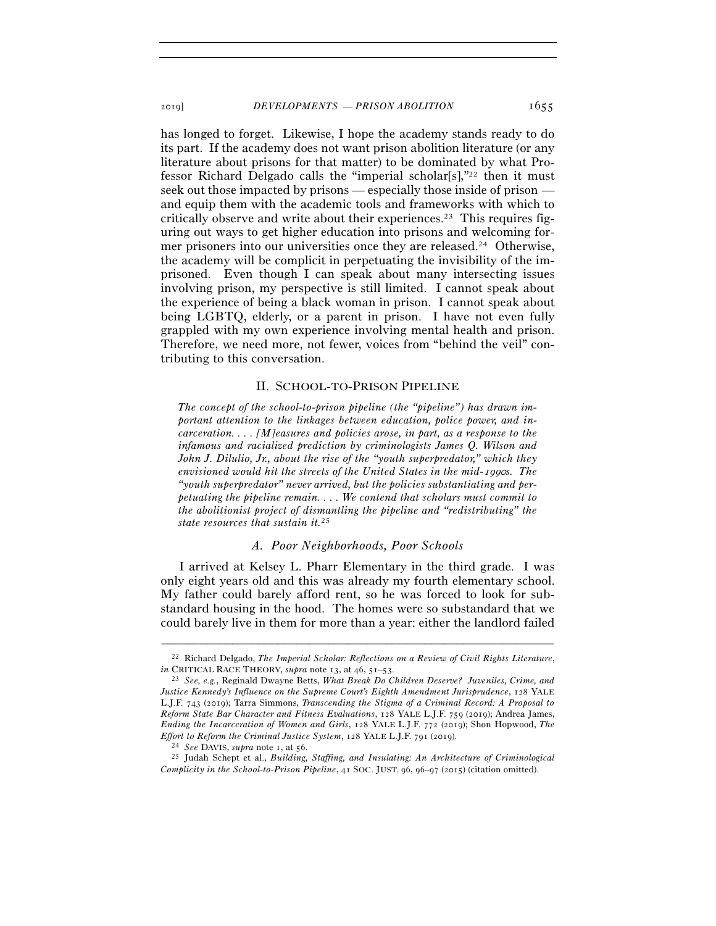has longed to forget. Likewise, I hope the academy stands ready to do its part. If the academy does not want prison abolition literature (or any literature about prisons for that matter) to be dominated by what Professor Richard Delgado calls the "imperial scholar[s],"22 then it must seek out those impacted by prisons — especially those inside of prison and equip them with the academic tools and frameworks with which to critically observe and write about their experiences.23 This requires figuring out ways to get higher education into prisons and welcoming former prisoners into our universities once they are released.24 Otherwise, the academy will be complicit in perpetuating the invisibility of the imprisoned. Even though I can speak about many intersecting issues involving prison, my perspective is still limited. I cannot speak about the experience of being a black woman in prison. I cannot speak about being LGBTQ, elderly, or a parent in prison. I have not even fully grappled with my own experience involving mental health and prison. Therefore, we need more, not fewer, voices from "behind the veil" contributing to this conversation.

### II. SCHOOL-TO-PRISON PIPELINE

*The concept of the school-to-prison pipeline (the "pipeline") has drawn important attention to the linkages between education, police power, and incarceration. . . . [M]easures and policies arose, in part, as a response to the infamous and racialized prediction by criminologists James Q. Wilson and John J. Dilulio, Jr., about the rise of the "youth superpredator," which they envisioned would hit the streets of the United States in the mid-*1990*s. The "youth superpredator" never arrived, but the policies substantiating and perpetuating the pipeline remain. . . . We contend that scholars must commit to the abolitionist project of dismantling the pipeline and "redistributing" the state resources that sustain it.*25

# *A. Poor Neighborhoods, Poor Schools*

I arrived at Kelsey L. Pharr Elementary in the third grade. I was only eight years old and this was already my fourth elementary school. My father could barely afford rent, so he was forced to look for substandard housing in the hood. The homes were so substandard that we could barely live in them for more than a year: either the landlord failed

<sup>–––––––––––––––––––––––––––––––––––––––––––––––––––––––––––––</sup> 22 Richard Delgado, *The Imperial Scholar: Reflections on a Review of Civil Rights Literature*, *in* CRITICAL RACE THEORY, *supra* note 13, at 46, 51–<sup>53</sup>. 23 *See, e.g.*, Reginald Dwayne Betts, *What Break Do Children Deserve? Juveniles, Crime, and* 

*Justice Kennedy's Influence on the Supreme Court's Eighth Amendment Jurisprudence*, 128 YALE L.J.F. 743 (2019); Tarra Simmons, *Transcending the Stigma of a Criminal Record: A Proposal to Reform State Bar Character and Fitness Evaluations*, 128 YALE L.J.F. 759 (2019); Andrea James, *Ending the Incarceration of Women and Girls*, 128 YALE L.J.F. 772 (2019); Shon Hopwood, *The*  Effort to Reform the Criminal Justice System, 128 YALE L.J.F. 791 (2019).<br><sup>24</sup> See DAVIS, supra note 1, at 56.<br><sup>25</sup> Judah Schept et al., *Building, Staffing, and Insulating: An Architecture of Criminological* 

*Complicity in the School-to-Prison Pipeline*, 41 SOC. JUST. 96, 96–97 (2015) (citation omitted).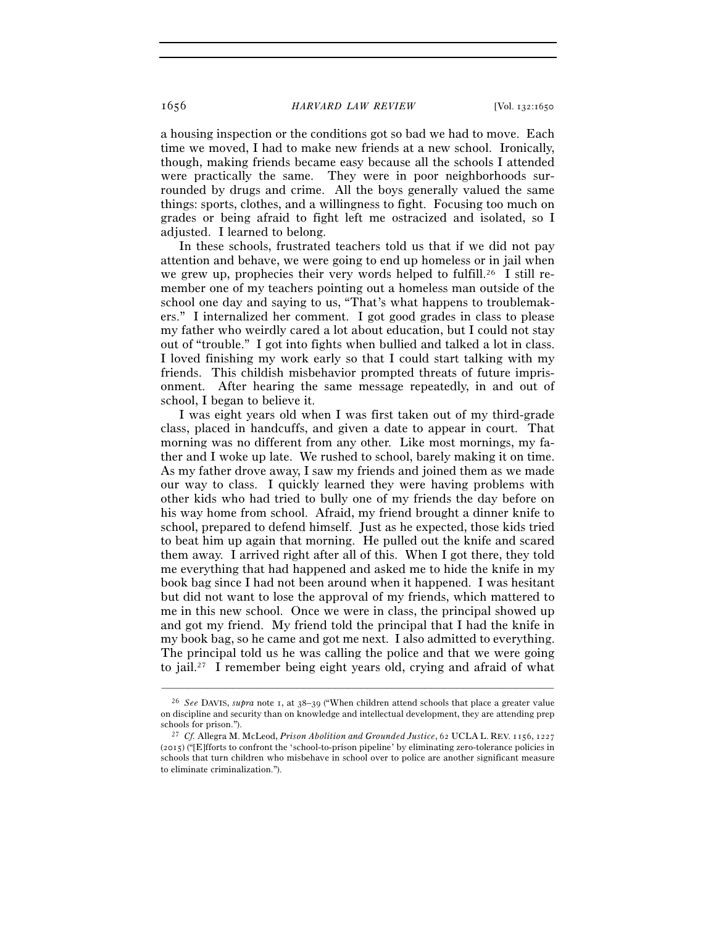a housing inspection or the conditions got so bad we had to move. Each time we moved, I had to make new friends at a new school. Ironically, though, making friends became easy because all the schools I attended were practically the same. They were in poor neighborhoods surrounded by drugs and crime. All the boys generally valued the same things: sports, clothes, and a willingness to fight. Focusing too much on grades or being afraid to fight left me ostracized and isolated, so I adjusted. I learned to belong.

In these schools, frustrated teachers told us that if we did not pay attention and behave, we were going to end up homeless or in jail when we grew up, prophecies their very words helped to fulfill.<sup>26</sup> I still remember one of my teachers pointing out a homeless man outside of the school one day and saying to us, "That's what happens to troublemakers." I internalized her comment. I got good grades in class to please my father who weirdly cared a lot about education, but I could not stay out of "trouble." I got into fights when bullied and talked a lot in class. I loved finishing my work early so that I could start talking with my friends. This childish misbehavior prompted threats of future imprisonment. After hearing the same message repeatedly, in and out of school, I began to believe it.

I was eight years old when I was first taken out of my third-grade class, placed in handcuffs, and given a date to appear in court. That morning was no different from any other. Like most mornings, my father and I woke up late. We rushed to school, barely making it on time. As my father drove away, I saw my friends and joined them as we made our way to class. I quickly learned they were having problems with other kids who had tried to bully one of my friends the day before on his way home from school. Afraid, my friend brought a dinner knife to school, prepared to defend himself. Just as he expected, those kids tried to beat him up again that morning. He pulled out the knife and scared them away. I arrived right after all of this. When I got there, they told me everything that had happened and asked me to hide the knife in my book bag since I had not been around when it happened. I was hesitant but did not want to lose the approval of my friends, which mattered to me in this new school. Once we were in class, the principal showed up and got my friend. My friend told the principal that I had the knife in my book bag, so he came and got me next. I also admitted to everything. The principal told us he was calling the police and that we were going to jail.27 I remember being eight years old, crying and afraid of what

<sup>26</sup> *See* DAVIS, *supra* note 1, at 38–39 ("When children attend schools that place a greater value on discipline and security than on knowledge and intellectual development, they are attending prep schools for prison."). 27 *Cf.* Allegra M. McLeod, *Prison Abolition and Grounded Justice*, 62 UCLA L. REV. 1156, <sup>1227</sup>

<sup>(</sup>2015) ("[E]fforts to confront the 'school-to-prison pipeline' by eliminating zero-tolerance policies in schools that turn children who misbehave in school over to police are another significant measure to eliminate criminalization.").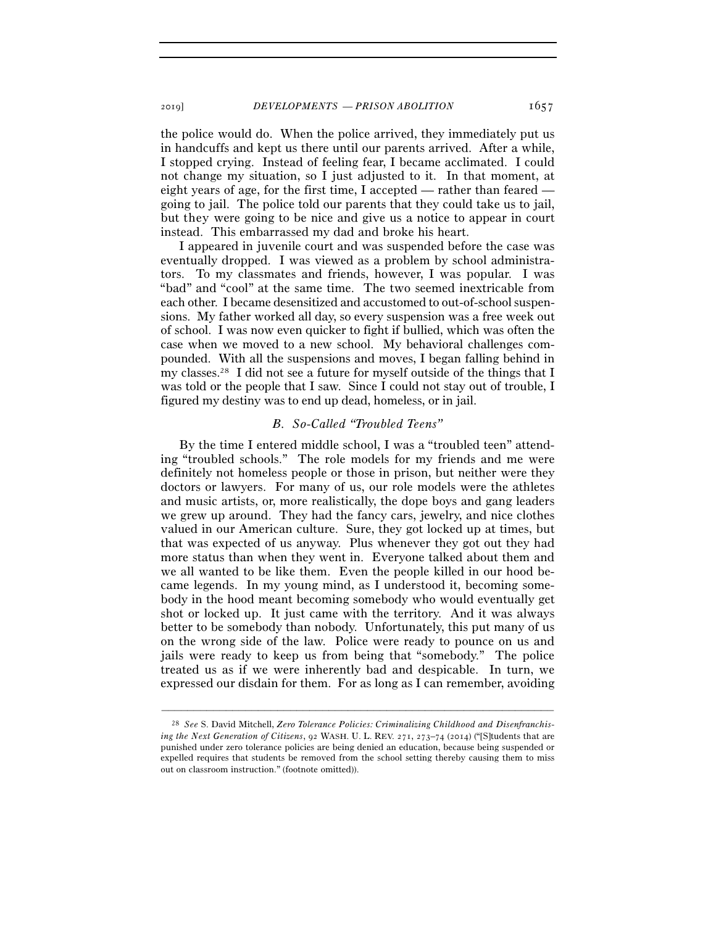the police would do. When the police arrived, they immediately put us in handcuffs and kept us there until our parents arrived. After a while, I stopped crying. Instead of feeling fear, I became acclimated. I could not change my situation, so I just adjusted to it. In that moment, at eight years of age, for the first time, I accepted — rather than feared going to jail. The police told our parents that they could take us to jail, but they were going to be nice and give us a notice to appear in court instead. This embarrassed my dad and broke his heart.

I appeared in juvenile court and was suspended before the case was eventually dropped. I was viewed as a problem by school administrators. To my classmates and friends, however, I was popular. I was "bad" and "cool" at the same time. The two seemed inextricable from each other. I became desensitized and accustomed to out-of-school suspensions. My father worked all day, so every suspension was a free week out of school. I was now even quicker to fight if bullied, which was often the case when we moved to a new school. My behavioral challenges compounded. With all the suspensions and moves, I began falling behind in my classes.28 I did not see a future for myself outside of the things that I was told or the people that I saw. Since I could not stay out of trouble, I figured my destiny was to end up dead, homeless, or in jail.

# *B. So-Called "Troubled Teens"*

By the time I entered middle school, I was a "troubled teen" attending "troubled schools." The role models for my friends and me were definitely not homeless people or those in prison, but neither were they doctors or lawyers. For many of us, our role models were the athletes and music artists, or, more realistically, the dope boys and gang leaders we grew up around. They had the fancy cars, jewelry, and nice clothes valued in our American culture. Sure, they got locked up at times, but that was expected of us anyway. Plus whenever they got out they had more status than when they went in. Everyone talked about them and we all wanted to be like them. Even the people killed in our hood became legends. In my young mind, as I understood it, becoming somebody in the hood meant becoming somebody who would eventually get shot or locked up. It just came with the territory. And it was always better to be somebody than nobody. Unfortunately, this put many of us on the wrong side of the law. Police were ready to pounce on us and jails were ready to keep us from being that "somebody." The police treated us as if we were inherently bad and despicable. In turn, we expressed our disdain for them. For as long as I can remember, avoiding

<sup>28</sup> *See* S. David Mitchell, *Zero Tolerance Policies: Criminalizing Childhood and Disenfranchising the Next Generation of Citizens*, 92 WASH. U. L. REV. 271, 273–74 (2014) ("[S]tudents that are punished under zero tolerance policies are being denied an education, because being suspended or expelled requires that students be removed from the school setting thereby causing them to miss out on classroom instruction." (footnote omitted)).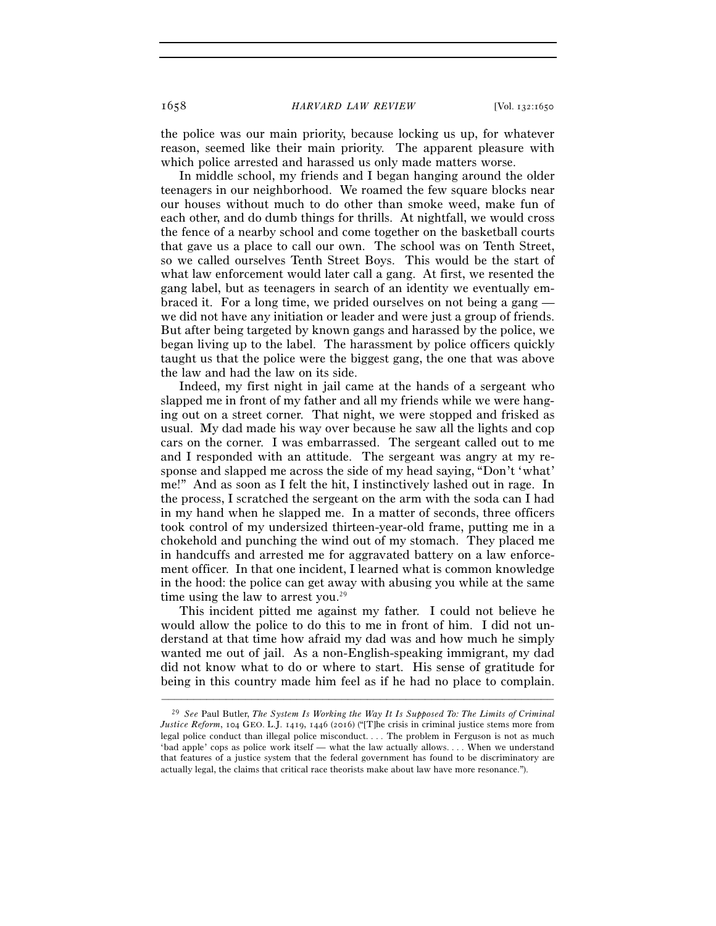the police was our main priority, because locking us up, for whatever reason, seemed like their main priority. The apparent pleasure with which police arrested and harassed us only made matters worse.

In middle school, my friends and I began hanging around the older teenagers in our neighborhood. We roamed the few square blocks near our houses without much to do other than smoke weed, make fun of each other, and do dumb things for thrills. At nightfall, we would cross the fence of a nearby school and come together on the basketball courts that gave us a place to call our own. The school was on Tenth Street, so we called ourselves Tenth Street Boys. This would be the start of what law enforcement would later call a gang. At first, we resented the gang label, but as teenagers in search of an identity we eventually embraced it. For a long time, we prided ourselves on not being a gang we did not have any initiation or leader and were just a group of friends. But after being targeted by known gangs and harassed by the police, we began living up to the label. The harassment by police officers quickly taught us that the police were the biggest gang, the one that was above the law and had the law on its side.

Indeed, my first night in jail came at the hands of a sergeant who slapped me in front of my father and all my friends while we were hanging out on a street corner. That night, we were stopped and frisked as usual. My dad made his way over because he saw all the lights and cop cars on the corner. I was embarrassed. The sergeant called out to me and I responded with an attitude. The sergeant was angry at my response and slapped me across the side of my head saying, "Don't 'what' me!" And as soon as I felt the hit, I instinctively lashed out in rage. In the process, I scratched the sergeant on the arm with the soda can I had in my hand when he slapped me. In a matter of seconds, three officers took control of my undersized thirteen-year-old frame, putting me in a chokehold and punching the wind out of my stomach. They placed me in handcuffs and arrested me for aggravated battery on a law enforcement officer. In that one incident, I learned what is common knowledge in the hood: the police can get away with abusing you while at the same time using the law to arrest you.<sup>29</sup>

This incident pitted me against my father. I could not believe he would allow the police to do this to me in front of him. I did not understand at that time how afraid my dad was and how much he simply wanted me out of jail. As a non-English-speaking immigrant, my dad did not know what to do or where to start. His sense of gratitude for being in this country made him feel as if he had no place to complain.

<sup>29</sup> *See* Paul Butler, *The System Is Working the Way It Is Supposed To: The Limits of Criminal Justice Reform*, 104 GEO. L.J. 1419, 1446 (2016) ("[T]he crisis in criminal justice stems more from legal police conduct than illegal police misconduct. . . . The problem in Ferguson is not as much 'bad apple' cops as police work itself — what the law actually allows. . . . When we understand that features of a justice system that the federal government has found to be discriminatory are actually legal, the claims that critical race theorists make about law have more resonance.").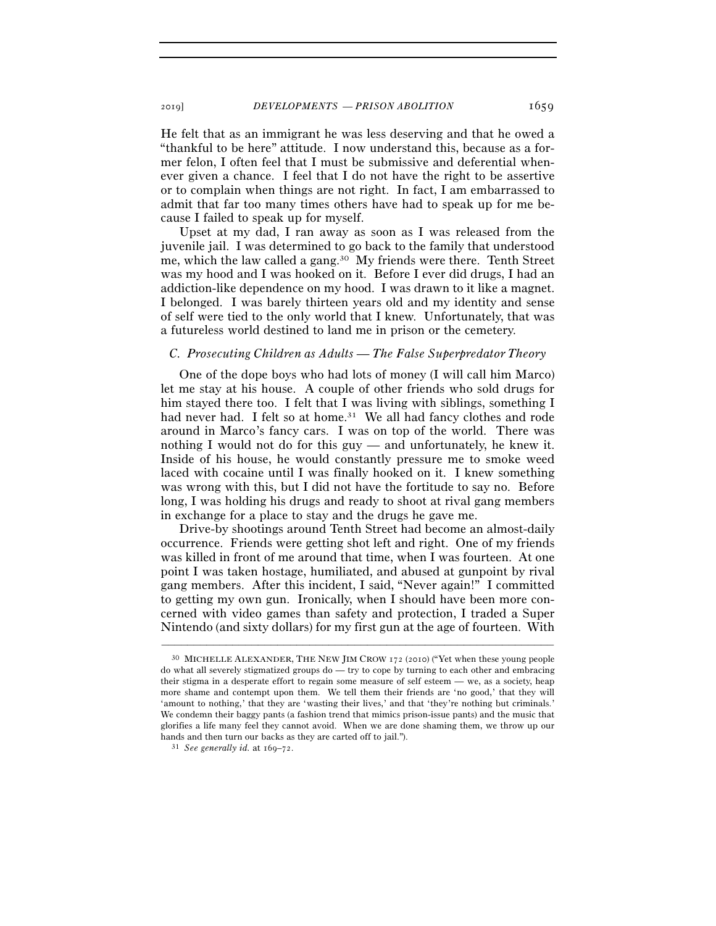He felt that as an immigrant he was less deserving and that he owed a "thankful to be here" attitude. I now understand this, because as a former felon, I often feel that I must be submissive and deferential whenever given a chance. I feel that I do not have the right to be assertive or to complain when things are not right. In fact, I am embarrassed to admit that far too many times others have had to speak up for me because I failed to speak up for myself.

Upset at my dad, I ran away as soon as I was released from the juvenile jail. I was determined to go back to the family that understood me, which the law called a gang.30 My friends were there. Tenth Street was my hood and I was hooked on it. Before I ever did drugs, I had an addiction-like dependence on my hood. I was drawn to it like a magnet. I belonged. I was barely thirteen years old and my identity and sense of self were tied to the only world that I knew. Unfortunately, that was a futureless world destined to land me in prison or the cemetery.

#### *C. Prosecuting Children as Adults — The False Superpredator Theory*

One of the dope boys who had lots of money (I will call him Marco) let me stay at his house. A couple of other friends who sold drugs for him stayed there too. I felt that I was living with siblings, something I had never had. I felt so at home.<sup>31</sup> We all had fancy clothes and rode around in Marco's fancy cars. I was on top of the world. There was nothing I would not do for this guy — and unfortunately, he knew it. Inside of his house, he would constantly pressure me to smoke weed laced with cocaine until I was finally hooked on it. I knew something was wrong with this, but I did not have the fortitude to say no. Before long, I was holding his drugs and ready to shoot at rival gang members in exchange for a place to stay and the drugs he gave me.

Drive-by shootings around Tenth Street had become an almost-daily occurrence. Friends were getting shot left and right. One of my friends was killed in front of me around that time, when I was fourteen. At one point I was taken hostage, humiliated, and abused at gunpoint by rival gang members. After this incident, I said, "Never again!" I committed to getting my own gun. Ironically, when I should have been more concerned with video games than safety and protection, I traded a Super Nintendo (and sixty dollars) for my first gun at the age of fourteen. With

<sup>30</sup> MICHELLE ALEXANDER, THE NEW JIM CROW 172 (2010) ("Yet when these young people do what all severely stigmatized groups do — try to cope by turning to each other and embracing their stigma in a desperate effort to regain some measure of self esteem — we, as a society, heap more shame and contempt upon them. We tell them their friends are 'no good,' that they will 'amount to nothing,' that they are 'wasting their lives,' and that 'they're nothing but criminals.' We condemn their baggy pants (a fashion trend that mimics prison-issue pants) and the music that glorifies a life many feel they cannot avoid. When we are done shaming them, we throw up our hands and then turn our backs as they are carted off to jail."). 31 *See generally id.* at 169–72.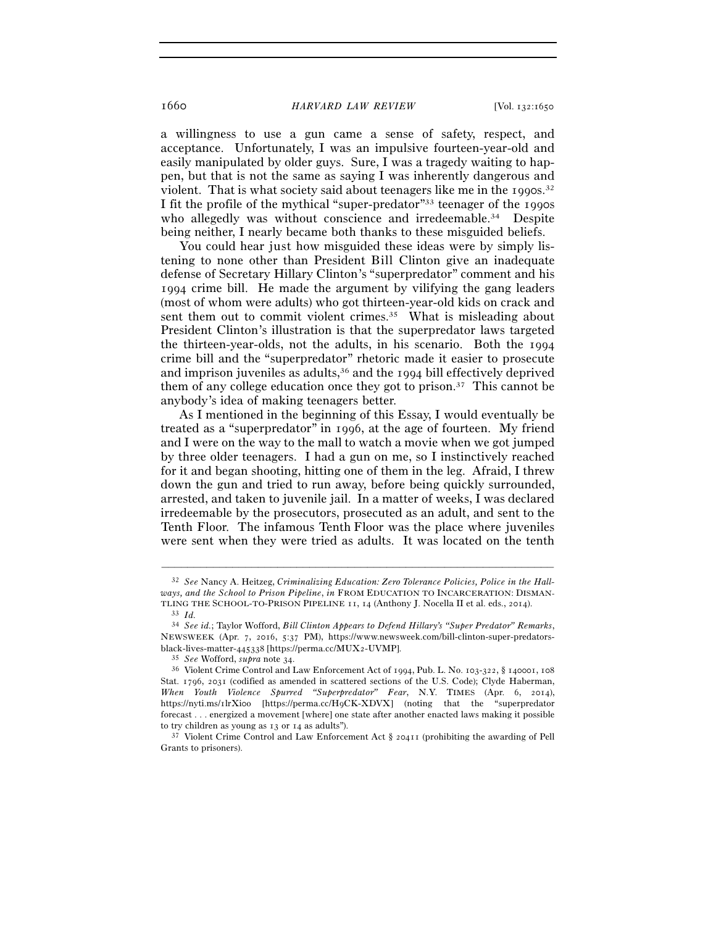a willingness to use a gun came a sense of safety, respect, and acceptance. Unfortunately, I was an impulsive fourteen-year-old and easily manipulated by older guys. Sure, I was a tragedy waiting to happen, but that is not the same as saying I was inherently dangerous and violent. That is what society said about teenagers like me in the 1990s.<sup>32</sup> I fit the profile of the mythical "super-predator"33 teenager of the 1990s who allegedly was without conscience and irredeemable.<sup>34</sup> Despite being neither, I nearly became both thanks to these misguided beliefs.

You could hear just how misguided these ideas were by simply listening to none other than President Bill Clinton give an inadequate defense of Secretary Hillary Clinton's "superpredator" comment and his 1994 crime bill. He made the argument by vilifying the gang leaders (most of whom were adults) who got thirteen-year-old kids on crack and sent them out to commit violent crimes.<sup>35</sup> What is misleading about President Clinton's illustration is that the superpredator laws targeted the thirteen-year-olds, not the adults, in his scenario. Both the 1994 crime bill and the "superpredator" rhetoric made it easier to prosecute and imprison juveniles as adults,<sup>36</sup> and the 1994 bill effectively deprived them of any college education once they got to prison.<sup>37</sup> This cannot be anybody's idea of making teenagers better.

As I mentioned in the beginning of this Essay, I would eventually be treated as a "superpredator" in 1996, at the age of fourteen. My friend and I were on the way to the mall to watch a movie when we got jumped by three older teenagers. I had a gun on me, so I instinctively reached for it and began shooting, hitting one of them in the leg. Afraid, I threw down the gun and tried to run away, before being quickly surrounded, arrested, and taken to juvenile jail. In a matter of weeks, I was declared irredeemable by the prosecutors, prosecuted as an adult, and sent to the Tenth Floor. The infamous Tenth Floor was the place where juveniles were sent when they were tried as adults. It was located on the tenth

<sup>32</sup> *See* Nancy A. Heitzeg, *Criminalizing Education: Zero Tolerance Policies, Police in the Hallways, and the School to Prison Pipeline*, *in* FROM EDUCATION TO INCARCERATION: DISMAN-TLING THE SCHOOL-TO-PRISON PIPELINE <sup>11</sup>, 14 (Anthony J. Nocella II et al. eds., <sup>2014</sup>). 33 *Id.*<sup>34</sup> *See id.*; Taylor Wofford, *Bill Clinton Appears to Defend Hillary's "Super Predator" Remarks*,

NEWSWEEK (Apr. 7, 2016, 5:37 PM), https://www.newsweek.com/bill-clinton-super-predatorsblack-lives-matter-445338 [https://perma.cc/MUX2-UVMP].<br><sup>35</sup> *See* Wofford, *supra* note 34.<br><sup>36</sup> Violent Crime Control and Law Enforcement Act of 1994, Pub. L. No. 103-322, § 140001, 108

Stat. 1796, 2031 (codified as amended in scattered sections of the U.S. Code); Clyde Haberman, *When Youth Violence Spurred "Superpredator" Fear*, N.Y. TIMES (Apr. 6, 2014), https://nyti.ms/1lrXi0o [https://perma.cc/H9CK-XDVX] (noting that the "superpredator forecast . . . energized a movement [where] one state after another enacted laws making it possible to try children as young as 13 or 14 as adults").<br><sup>37</sup> Violent Crime Control and Law Enforcement Act  $\S$  20411 (prohibiting the awarding of Pell

Grants to prisoners).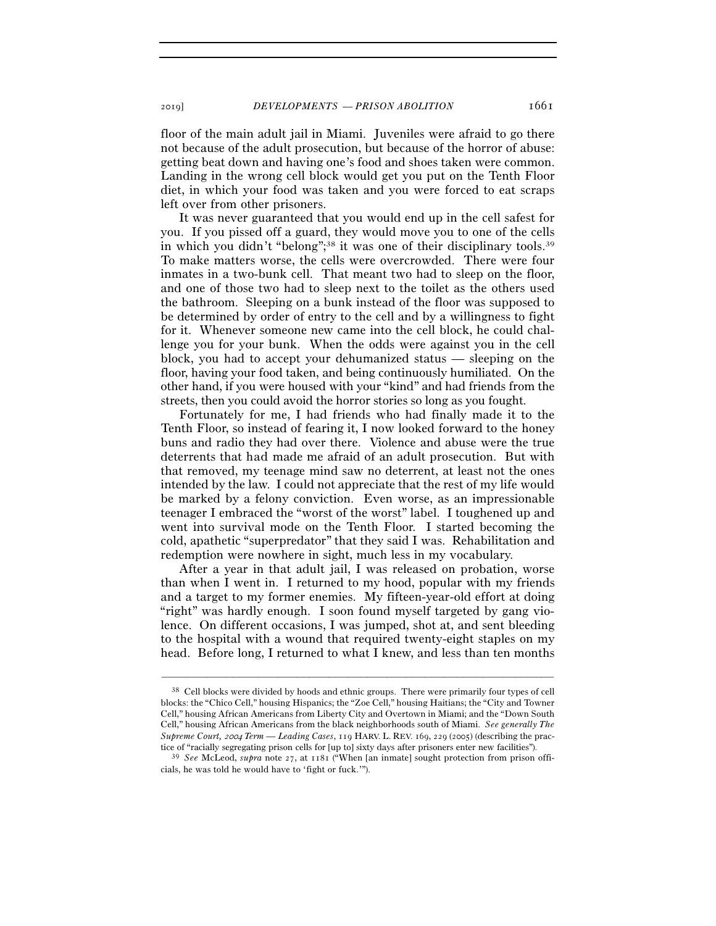floor of the main adult jail in Miami. Juveniles were afraid to go there not because of the adult prosecution, but because of the horror of abuse: getting beat down and having one's food and shoes taken were common. Landing in the wrong cell block would get you put on the Tenth Floor diet, in which your food was taken and you were forced to eat scraps left over from other prisoners.

It was never guaranteed that you would end up in the cell safest for you. If you pissed off a guard, they would move you to one of the cells in which you didn't "belong";<sup>38</sup> it was one of their disciplinary tools.<sup>39</sup> To make matters worse, the cells were overcrowded. There were four inmates in a two-bunk cell. That meant two had to sleep on the floor, and one of those two had to sleep next to the toilet as the others used the bathroom. Sleeping on a bunk instead of the floor was supposed to be determined by order of entry to the cell and by a willingness to fight for it. Whenever someone new came into the cell block, he could challenge you for your bunk. When the odds were against you in the cell block, you had to accept your dehumanized status — sleeping on the floor, having your food taken, and being continuously humiliated. On the other hand, if you were housed with your "kind" and had friends from the streets, then you could avoid the horror stories so long as you fought.

Fortunately for me, I had friends who had finally made it to the Tenth Floor, so instead of fearing it, I now looked forward to the honey buns and radio they had over there. Violence and abuse were the true deterrents that had made me afraid of an adult prosecution. But with that removed, my teenage mind saw no deterrent, at least not the ones intended by the law. I could not appreciate that the rest of my life would be marked by a felony conviction. Even worse, as an impressionable teenager I embraced the "worst of the worst" label. I toughened up and went into survival mode on the Tenth Floor. I started becoming the cold, apathetic "superpredator" that they said I was. Rehabilitation and redemption were nowhere in sight, much less in my vocabulary.

After a year in that adult jail, I was released on probation, worse than when I went in. I returned to my hood, popular with my friends and a target to my former enemies. My fifteen-year-old effort at doing "right" was hardly enough. I soon found myself targeted by gang violence. On different occasions, I was jumped, shot at, and sent bleeding to the hospital with a wound that required twenty-eight staples on my head. Before long, I returned to what I knew, and less than ten months

<sup>38</sup> Cell blocks were divided by hoods and ethnic groups. There were primarily four types of cell blocks: the "Chico Cell," housing Hispanics; the "Zoe Cell," housing Haitians; the "City and Towner Cell," housing African Americans from Liberty City and Overtown in Miami; and the "Down South Cell," housing African Americans from the black neighborhoods south of Miami. *See generally The Supreme Court,* 2004 *Term — Leading Cases*, 119 HARV. L. REV. 169, 229 (2005) (describing the prac-

tice of "racially segregating prison cells for [up to] sixty days after prisoners enter new facilities"). 39 *See* McLeod, *supra* note 27, at 1181 ("When [an inmate] sought protection from prison officials, he was told he would have to 'fight or fuck.'").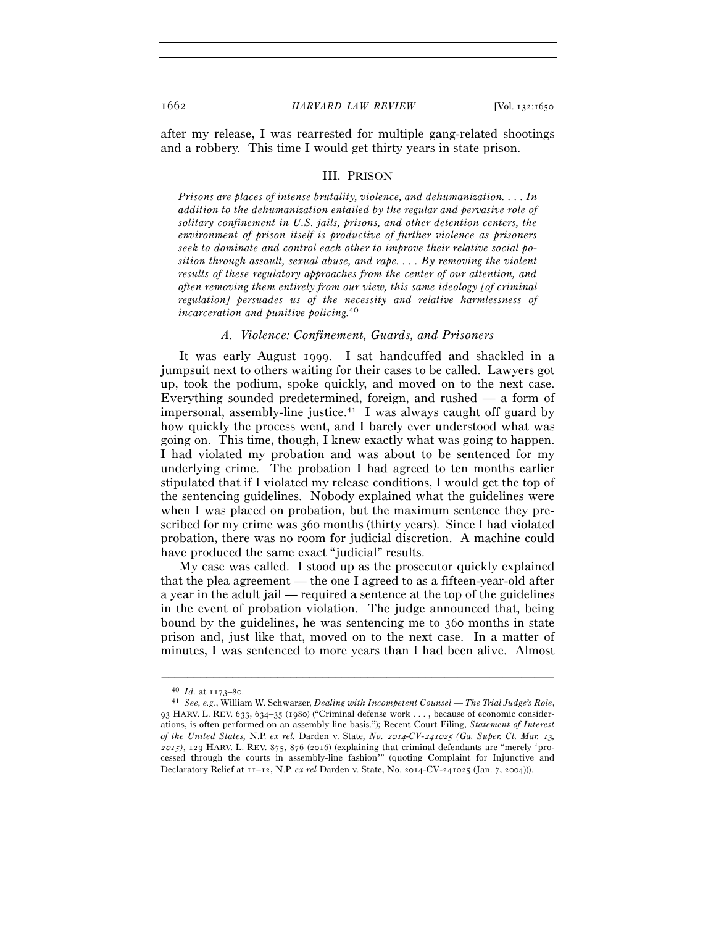after my release, I was rearrested for multiple gang-related shootings and a robbery. This time I would get thirty years in state prison.

#### III. PRISON

*Prisons are places of intense brutality, violence, and dehumanization. . . . In addition to the dehumanization entailed by the regular and pervasive role of solitary confinement in U.S. jails, prisons, and other detention centers, the environment of prison itself is productive of further violence as prisoners seek to dominate and control each other to improve their relative social position through assault, sexual abuse, and rape. . . . By removing the violent results of these regulatory approaches from the center of our attention, and often removing them entirely from our view, this same ideology [of criminal regulation] persuades us of the necessity and relative harmlessness of incarceration and punitive policing.*40

### *A. Violence: Confinement, Guards, and Prisoners*

It was early August 1999. I sat handcuffed and shackled in a jumpsuit next to others waiting for their cases to be called. Lawyers got up, took the podium, spoke quickly, and moved on to the next case. Everything sounded predetermined, foreign, and rushed — a form of impersonal, assembly-line justice.<sup>41</sup> I was always caught off guard by how quickly the process went, and I barely ever understood what was going on. This time, though, I knew exactly what was going to happen. I had violated my probation and was about to be sentenced for my underlying crime. The probation I had agreed to ten months earlier stipulated that if I violated my release conditions, I would get the top of the sentencing guidelines. Nobody explained what the guidelines were when I was placed on probation, but the maximum sentence they prescribed for my crime was 360 months (thirty years). Since I had violated probation, there was no room for judicial discretion. A machine could have produced the same exact "judicial" results.

My case was called. I stood up as the prosecutor quickly explained that the plea agreement — the one I agreed to as a fifteen-year-old after a year in the adult jail — required a sentence at the top of the guidelines in the event of probation violation. The judge announced that, being bound by the guidelines, he was sentencing me to 360 months in state prison and, just like that, moved on to the next case. In a matter of minutes, I was sentenced to more years than I had been alive. Almost

<sup>40</sup> *Id.* at 1173–<sup>80</sup>. 41 *See, e.g.*, William W. Schwarzer, *Dealing with Incompetent Counsel — The Trial Judge's Role*, 93 HARV. L. REV. 633, 634–35 (1980) ("Criminal defense work . . . , because of economic considerations, is often performed on an assembly line basis."); Recent Court Filing, *Statement of Interest of the United States,* N.P. *ex rel.* Darden v. State*, No.* 2014*-CV-*241025 *(Ga. Super. Ct. Mar.* 13*,*  <sup>2015</sup>*)*, 129 HARV. L. REV. 875, 876 (2016) (explaining that criminal defendants are "merely 'processed through the courts in assembly-line fashion'" (quoting Complaint for Injunctive and Declaratory Relief at 11–12, N.P. *ex rel* Darden v. State, No. 2014-CV-241025 (Jan. 7, 2004))).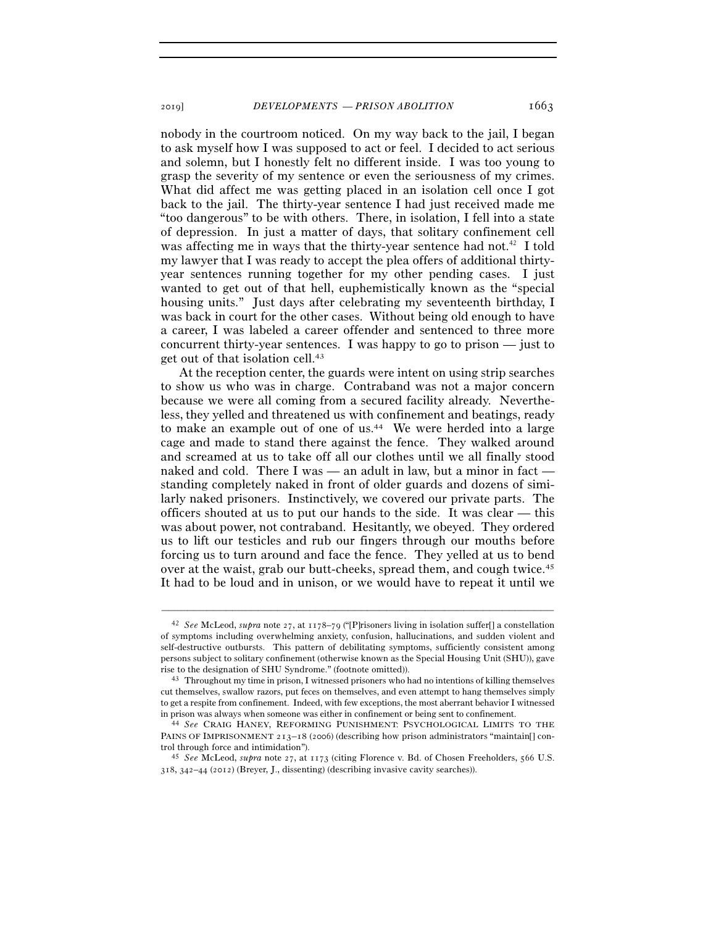nobody in the courtroom noticed. On my way back to the jail, I began to ask myself how I was supposed to act or feel. I decided to act serious and solemn, but I honestly felt no different inside. I was too young to grasp the severity of my sentence or even the seriousness of my crimes. What did affect me was getting placed in an isolation cell once I got back to the jail. The thirty-year sentence I had just received made me "too dangerous" to be with others. There, in isolation, I fell into a state of depression. In just a matter of days, that solitary confinement cell was affecting me in ways that the thirty-year sentence had not.<sup>42</sup> I told my lawyer that I was ready to accept the plea offers of additional thirtyyear sentences running together for my other pending cases. I just wanted to get out of that hell, euphemistically known as the "special housing units." Just days after celebrating my seventeenth birthday, I was back in court for the other cases. Without being old enough to have a career, I was labeled a career offender and sentenced to three more concurrent thirty-year sentences. I was happy to go to prison — just to get out of that isolation cell.43

At the reception center, the guards were intent on using strip searches to show us who was in charge. Contraband was not a major concern because we were all coming from a secured facility already. Nevertheless, they yelled and threatened us with confinement and beatings, ready to make an example out of one of us.<sup>44</sup> We were herded into a large cage and made to stand there against the fence. They walked around and screamed at us to take off all our clothes until we all finally stood naked and cold. There I was — an adult in law, but a minor in fact standing completely naked in front of older guards and dozens of similarly naked prisoners. Instinctively, we covered our private parts. The officers shouted at us to put our hands to the side. It was clear — this was about power, not contraband. Hesitantly, we obeyed. They ordered us to lift our testicles and rub our fingers through our mouths before forcing us to turn around and face the fence. They yelled at us to bend over at the waist, grab our butt-cheeks, spread them, and cough twice.45 It had to be loud and in unison, or we would have to repeat it until we

<sup>42</sup> *See* McLeod, *supra* note 27, at 1178–79 ("[P]risoners living in isolation suffer[] a constellation of symptoms including overwhelming anxiety, confusion, hallucinations, and sudden violent and self-destructive outbursts. This pattern of debilitating symptoms, sufficiently consistent among persons subject to solitary confinement (otherwise known as the Special Housing Unit (SHU)), gave

rise to the designation of SHU Syndrome." (footnote omitted)). 43 Throughout my time in prison, I witnessed prisoners who had no intentions of killing themselves cut themselves, swallow razors, put feces on themselves, and even attempt to hang themselves simply to get a respite from confinement. Indeed, with few exceptions, the most aberrant behavior I witnessed in prison was always when someone was either in confinement or being sent to confinement. 44 *See* CRAIG HANEY, REFORMING PUNISHMENT: PSYCHOLOGICAL LIMITS TO THE

PAINS OF IMPRISONMENT 213-18 (2006) (describing how prison administrators "maintain[] control through force and intimidation"). 45 *See* McLeod, *supra* note 27, at 1173 (citing Florence v. Bd. of Chosen Freeholders, 566 U.S.

<sup>318</sup>, 342–44 (2012) (Breyer, J., dissenting) (describing invasive cavity searches)).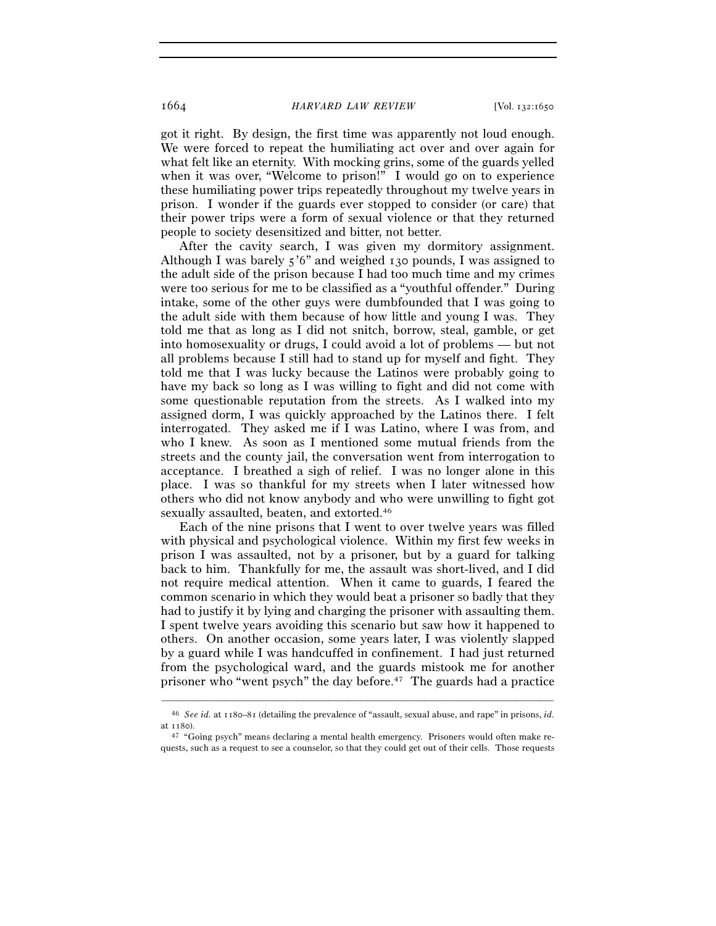got it right. By design, the first time was apparently not loud enough. We were forced to repeat the humiliating act over and over again for what felt like an eternity. With mocking grins, some of the guards yelled when it was over, "Welcome to prison!" I would go on to experience these humiliating power trips repeatedly throughout my twelve years in prison. I wonder if the guards ever stopped to consider (or care) that their power trips were a form of sexual violence or that they returned people to society desensitized and bitter, not better.

After the cavity search, I was given my dormitory assignment. Although I was barely 5'6" and weighed 130 pounds, I was assigned to the adult side of the prison because I had too much time and my crimes were too serious for me to be classified as a "youthful offender." During intake, some of the other guys were dumbfounded that I was going to the adult side with them because of how little and young I was. They told me that as long as I did not snitch, borrow, steal, gamble, or get into homosexuality or drugs, I could avoid a lot of problems — but not all problems because I still had to stand up for myself and fight. They told me that I was lucky because the Latinos were probably going to have my back so long as I was willing to fight and did not come with some questionable reputation from the streets. As I walked into my assigned dorm, I was quickly approached by the Latinos there. I felt interrogated. They asked me if I was Latino, where I was from, and who I knew. As soon as I mentioned some mutual friends from the streets and the county jail, the conversation went from interrogation to acceptance. I breathed a sigh of relief. I was no longer alone in this place. I was so thankful for my streets when I later witnessed how others who did not know anybody and who were unwilling to fight got sexually assaulted, beaten, and extorted.46

Each of the nine prisons that I went to over twelve years was filled with physical and psychological violence. Within my first few weeks in prison I was assaulted, not by a prisoner, but by a guard for talking back to him. Thankfully for me, the assault was short-lived, and I did not require medical attention. When it came to guards, I feared the common scenario in which they would beat a prisoner so badly that they had to justify it by lying and charging the prisoner with assaulting them. I spent twelve years avoiding this scenario but saw how it happened to others. On another occasion, some years later, I was violently slapped by a guard while I was handcuffed in confinement. I had just returned from the psychological ward, and the guards mistook me for another prisoner who "went psych" the day before.47 The guards had a practice

<sup>–––––––––––––––––––––––––––––––––––––––––––––––––––––––––––––</sup> <sup>46</sup> *See id.* at 1180–81 (detailing the prevalence of "assault, sexual abuse, and rape" in prisons, *id.* at 1180).<br> $47$  "Going psych" means declaring a mental health emergency. Prisoners would often make re-

quests, such as a request to see a counselor, so that they could get out of their cells. Those requests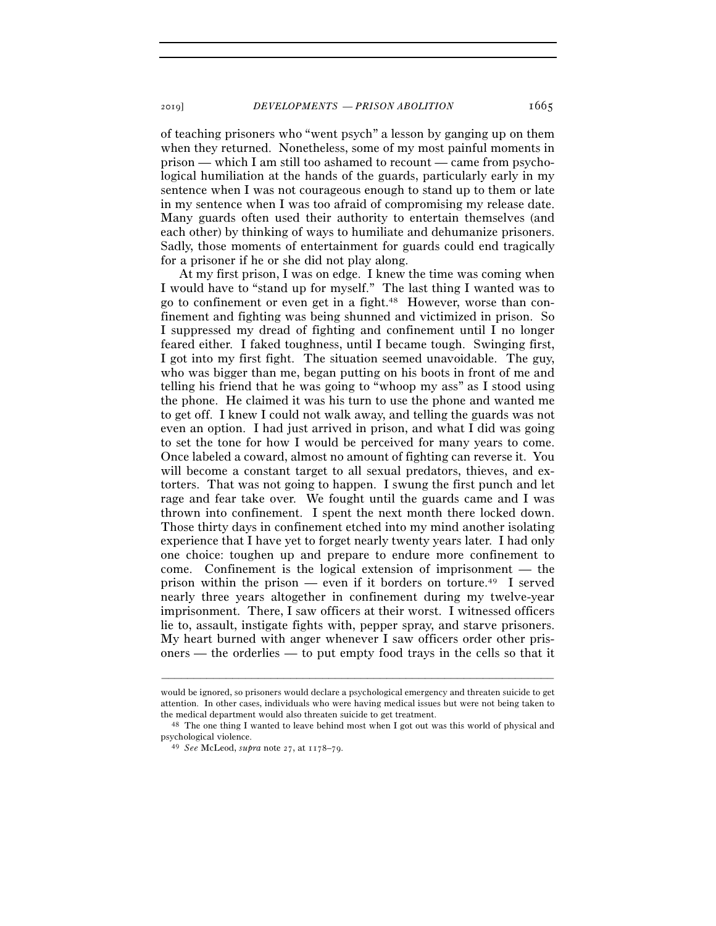2019] *DEVELOPMENTS — PRISON ABOLITION* 1665

of teaching prisoners who "went psych" a lesson by ganging up on them when they returned. Nonetheless, some of my most painful moments in prison — which I am still too ashamed to recount — came from psychological humiliation at the hands of the guards, particularly early in my sentence when I was not courageous enough to stand up to them or late in my sentence when I was too afraid of compromising my release date. Many guards often used their authority to entertain themselves (and each other) by thinking of ways to humiliate and dehumanize prisoners. Sadly, those moments of entertainment for guards could end tragically for a prisoner if he or she did not play along.

At my first prison, I was on edge. I knew the time was coming when I would have to "stand up for myself." The last thing I wanted was to go to confinement or even get in a fight.48 However, worse than confinement and fighting was being shunned and victimized in prison. So I suppressed my dread of fighting and confinement until I no longer feared either. I faked toughness, until I became tough. Swinging first, I got into my first fight. The situation seemed unavoidable. The guy, who was bigger than me, began putting on his boots in front of me and telling his friend that he was going to "whoop my ass" as I stood using the phone. He claimed it was his turn to use the phone and wanted me to get off. I knew I could not walk away, and telling the guards was not even an option. I had just arrived in prison, and what I did was going to set the tone for how I would be perceived for many years to come. Once labeled a coward, almost no amount of fighting can reverse it. You will become a constant target to all sexual predators, thieves, and extorters. That was not going to happen. I swung the first punch and let rage and fear take over. We fought until the guards came and I was thrown into confinement. I spent the next month there locked down. Those thirty days in confinement etched into my mind another isolating experience that I have yet to forget nearly twenty years later. I had only one choice: toughen up and prepare to endure more confinement to come. Confinement is the logical extension of imprisonment — the prison within the prison — even if it borders on torture.49 I served nearly three years altogether in confinement during my twelve-year imprisonment. There, I saw officers at their worst. I witnessed officers lie to, assault, instigate fights with, pepper spray, and starve prisoners. My heart burned with anger whenever I saw officers order other prisoners — the orderlies — to put empty food trays in the cells so that it

would be ignored, so prisoners would declare a psychological emergency and threaten suicide to get attention. In other cases, individuals who were having medical issues but were not being taken to

the medical department would also threaten suicide to get treatment.<br><sup>48</sup> The one thing I wanted to leave behind most when I got out was this world of physical and psychological violence. 49 *See* McLeod, *supra* note 27, at 1178–79.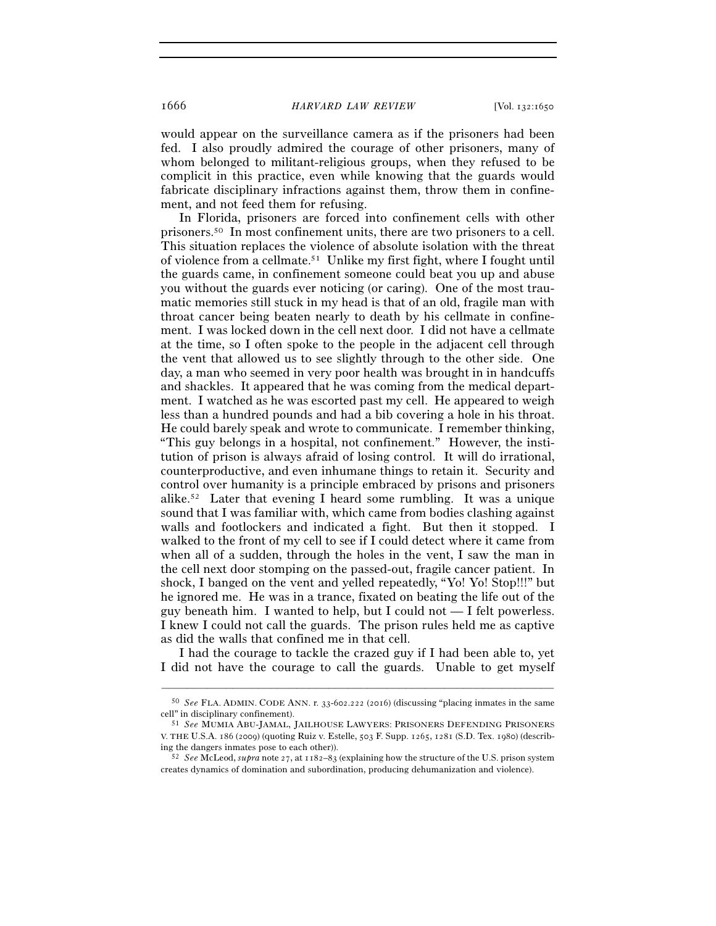would appear on the surveillance camera as if the prisoners had been fed. I also proudly admired the courage of other prisoners, many of whom belonged to militant-religious groups, when they refused to be complicit in this practice, even while knowing that the guards would fabricate disciplinary infractions against them, throw them in confinement, and not feed them for refusing.

In Florida, prisoners are forced into confinement cells with other prisoners.50 In most confinement units, there are two prisoners to a cell. This situation replaces the violence of absolute isolation with the threat of violence from a cellmate.51 Unlike my first fight, where I fought until the guards came, in confinement someone could beat you up and abuse you without the guards ever noticing (or caring). One of the most traumatic memories still stuck in my head is that of an old, fragile man with throat cancer being beaten nearly to death by his cellmate in confinement. I was locked down in the cell next door. I did not have a cellmate at the time, so I often spoke to the people in the adjacent cell through the vent that allowed us to see slightly through to the other side. One day, a man who seemed in very poor health was brought in in handcuffs and shackles. It appeared that he was coming from the medical department. I watched as he was escorted past my cell. He appeared to weigh less than a hundred pounds and had a bib covering a hole in his throat. He could barely speak and wrote to communicate. I remember thinking, "This guy belongs in a hospital, not confinement." However, the institution of prison is always afraid of losing control. It will do irrational, counterproductive, and even inhumane things to retain it. Security and control over humanity is a principle embraced by prisons and prisoners alike.52 Later that evening I heard some rumbling. It was a unique sound that I was familiar with, which came from bodies clashing against walls and footlockers and indicated a fight. But then it stopped. I walked to the front of my cell to see if I could detect where it came from when all of a sudden, through the holes in the vent, I saw the man in the cell next door stomping on the passed-out, fragile cancer patient. In shock, I banged on the vent and yelled repeatedly, "Yo! Yo! Stop!!!" but he ignored me. He was in a trance, fixated on beating the life out of the guy beneath him. I wanted to help, but I could not  $\overline{ }$  I felt powerless. I knew I could not call the guards. The prison rules held me as captive as did the walls that confined me in that cell.

I had the courage to tackle the crazed guy if I had been able to, yet I did not have the courage to call the guards. Unable to get myself

<sup>–––––––––––––––––––––––––––––––––––––––––––––––––––––––––––––</sup> <sup>50</sup> *See* FLA. ADMIN. CODE ANN. r. 33-602.222 (2016) (discussing "placing inmates in the same cell" in disciplinary confinement). 51 *See* MUMIA ABU-JAMAL, JAILHOUSE LAWYERS: PRISONERS DEFENDING PRISONERS

V. THE U.S.A. 186 (2009) (quoting Ruiz v. Estelle, 503 F. Supp. 1265, 1281 (S.D. Tex. 1980) (describing the dangers inmates pose to each other)). 52 *See* McLeod, *supra* note 27, at 1182–83 (explaining how the structure of the U.S. prison system

creates dynamics of domination and subordination, producing dehumanization and violence).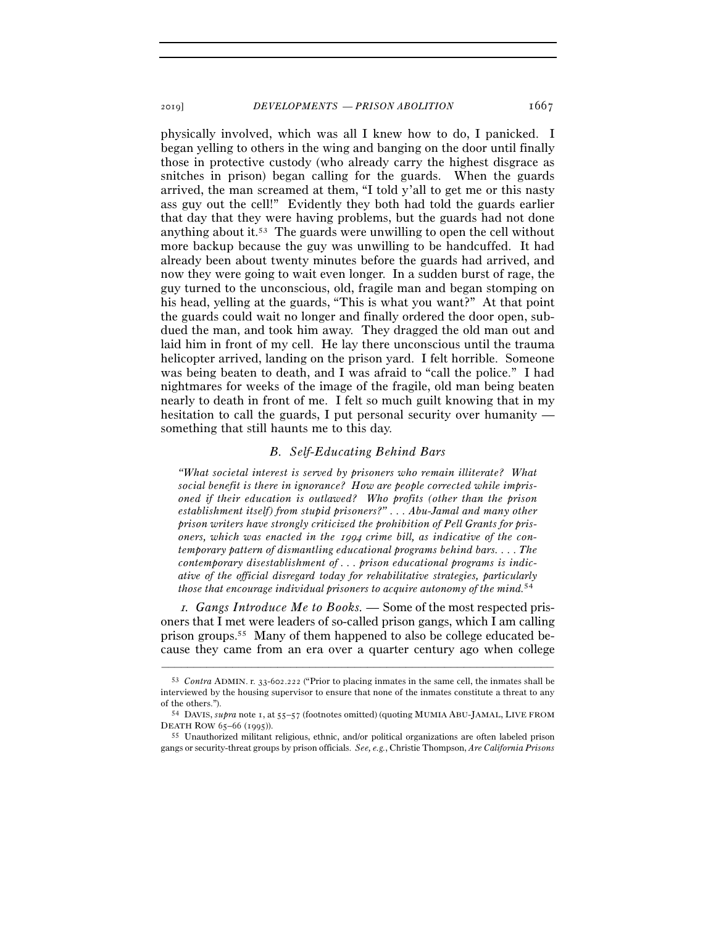physically involved, which was all I knew how to do, I panicked. I began yelling to others in the wing and banging on the door until finally those in protective custody (who already carry the highest disgrace as snitches in prison) began calling for the guards. When the guards arrived, the man screamed at them, "I told y'all to get me or this nasty ass guy out the cell!" Evidently they both had told the guards earlier that day that they were having problems, but the guards had not done anything about it.53 The guards were unwilling to open the cell without more backup because the guy was unwilling to be handcuffed. It had already been about twenty minutes before the guards had arrived, and now they were going to wait even longer. In a sudden burst of rage, the guy turned to the unconscious, old, fragile man and began stomping on his head, yelling at the guards, "This is what you want?" At that point the guards could wait no longer and finally ordered the door open, subdued the man, and took him away. They dragged the old man out and laid him in front of my cell. He lay there unconscious until the trauma helicopter arrived, landing on the prison yard. I felt horrible. Someone was being beaten to death, and I was afraid to "call the police." I had nightmares for weeks of the image of the fragile, old man being beaten nearly to death in front of me. I felt so much guilt knowing that in my hesitation to call the guards, I put personal security over humanity something that still haunts me to this day.

### *B. Self-Educating Behind Bars*

*"What societal interest is served by prisoners who remain illiterate? What social benefit is there in ignorance? How are people corrected while imprisoned if their education is outlawed? Who profits (other than the prison establishment itself) from stupid prisoners?" . . . Abu-Jamal and many other prison writers have strongly criticized the prohibition of Pell Grants for prisoners, which was enacted in the* 1994 *crime bill, as indicative of the contemporary pattern of dismantling educational programs behind bars. . . . The contemporary disestablishment of . . . prison educational programs is indicative of the official disregard today for rehabilitative strategies, particularly those that encourage individual prisoners to acquire autonomy of the mind.*54

1*. Gangs Introduce Me to Books. —* Some of the most respected prisoners that I met were leaders of so-called prison gangs, which I am calling prison groups.55 Many of them happened to also be college educated because they came from an era over a quarter century ago when college

<sup>53</sup> *Contra* ADMIN. r. 33-602.222 ("Prior to placing inmates in the same cell, the inmates shall be interviewed by the housing supervisor to ensure that none of the inmates constitute a threat to any of the others."). 54 DAVIS, *supra* note 1, at 55–57 (footnotes omitted) (quoting MUMIA ABU-JAMAL, LIVE FROM

DEATH ROW <sup>65</sup>–66 (<sup>1995</sup>)). 55 Unauthorized militant religious, ethnic, and/or political organizations are often labeled prison

gangs or security-threat groups by prison officials. *See, e.g.*, Christie Thompson, *Are California Prisons*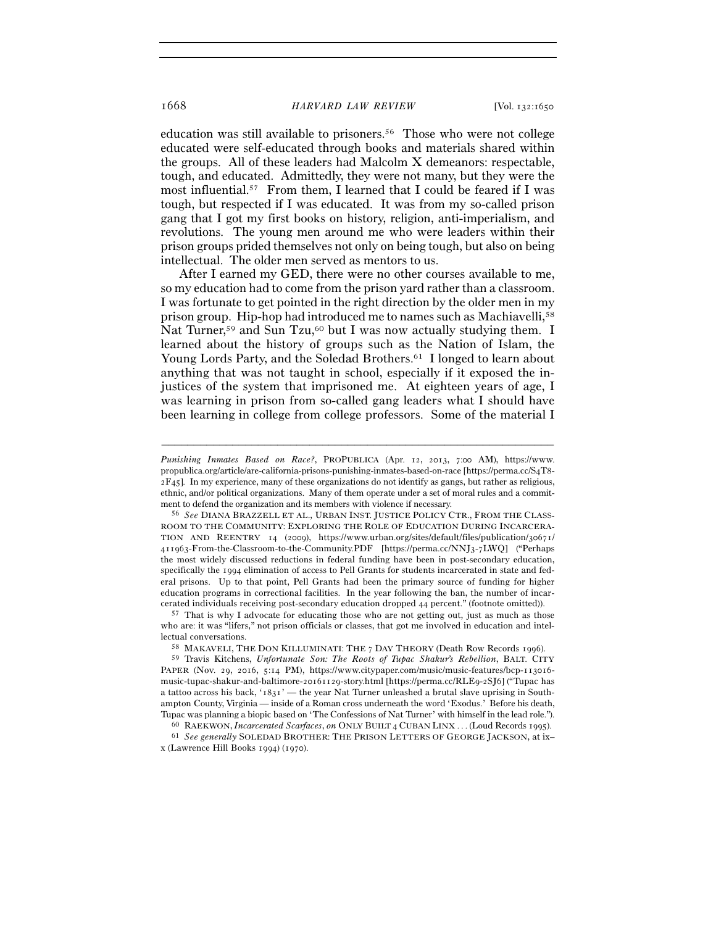education was still available to prisoners.56 Those who were not college educated were self-educated through books and materials shared within the groups. All of these leaders had Malcolm X demeanors: respectable, tough, and educated. Admittedly, they were not many, but they were the most influential.57 From them, I learned that I could be feared if I was tough, but respected if I was educated. It was from my so-called prison gang that I got my first books on history, religion, anti-imperialism, and revolutions. The young men around me who were leaders within their prison groups prided themselves not only on being tough, but also on being intellectual. The older men served as mentors to us.

After I earned my GED, there were no other courses available to me, so my education had to come from the prison yard rather than a classroom. I was fortunate to get pointed in the right direction by the older men in my prison group. Hip-hop had introduced me to names such as Machiavelli,58 Nat Turner,<sup>59</sup> and Sun Tzu,<sup>60</sup> but I was now actually studying them. I learned about the history of groups such as the Nation of Islam, the Young Lords Party, and the Soledad Brothers.<sup>61</sup> I longed to learn about anything that was not taught in school, especially if it exposed the injustices of the system that imprisoned me. At eighteen years of age, I was learning in prison from so-called gang leaders what I should have been learning in college from college professors. Some of the material I

–––––––––––––––––––––––––––––––––––––––––––––––––––––––––––––

59 Travis Kitchens, *Unfortunate Son: The Roots of Tupac Shakur's Rebellion*, BALT. CITY PAPER (Nov. 29, 2016, 5:14 PM), https://www.citypaper.com/music/music-features/bcp-113016 music-tupac-shakur-and-baltimore-20161129-story.html [https://perma.cc/RLE9-2SJ6] ("Tupac has a tattoo across his back, '1831' — the year Nat Turner unleashed a brutal slave uprising in Southampton County, Virginia — inside of a Roman cross underneath the word 'Exodus.' Before his death,

Tupac was planning a biopic based on 'The Confessions of Nat Turner' with himself in the lead role.").<br><sup>60</sup> RAEKWON, *Incarcerated Scarfaces*, *on* ONLY BUILT 4 CUBAN LINX . . . (Loud Records 1995).<br><sup>61</sup> See generally SOL

x (Lawrence Hill Books 1994) (1970).

*Punishing Inmates Based on Race?*, PROPUBLICA (Apr. 12, 2013, 7:00 AM), https://www. propublica.org/article/are-california-prisons-punishing-inmates-based-on-race [https://perma.cc/S4T8- 2F45]. In my experience, many of these organizations do not identify as gangs, but rather as religious, ethnic, and/or political organizations. Many of them operate under a set of moral rules and a commitment to defend the organization and its members with violence if necessary. 56 *See* DIANA BRAZZELL ET AL., URBAN INST. JUSTICE POLICY CTR., FROM THE CLASS-

ROOM TO THE COMMUNITY: EXPLORING THE ROLE OF EDUCATION DURING INCARCERA-TION AND REENTRY 14 (2009), https://www.urban.org/sites/default/files/publication/30671/ 411963-From-the-Classroom-to-the-Community.PDF [https://perma.cc/NNJ3-7LWQ] ("Perhaps the most widely discussed reductions in federal funding have been in post-secondary education, specifically the 1994 elimination of access to Pell Grants for students incarcerated in state and federal prisons. Up to that point, Pell Grants had been the primary source of funding for higher education programs in correctional facilities. In the year following the ban, the number of incarcerated individuals receiving post-secondary education dropped <sup>44</sup> percent." (footnote omitted)). 57 That is why I advocate for educating those who are not getting out, just as much as those

who are: it was "lifers," not prison officials or classes, that got me involved in education and intellectual conversations. 58 MAKAVELI, THE DON KILLUMINATI: THE <sup>7</sup> DAY THEORY (Death Row Records 1996).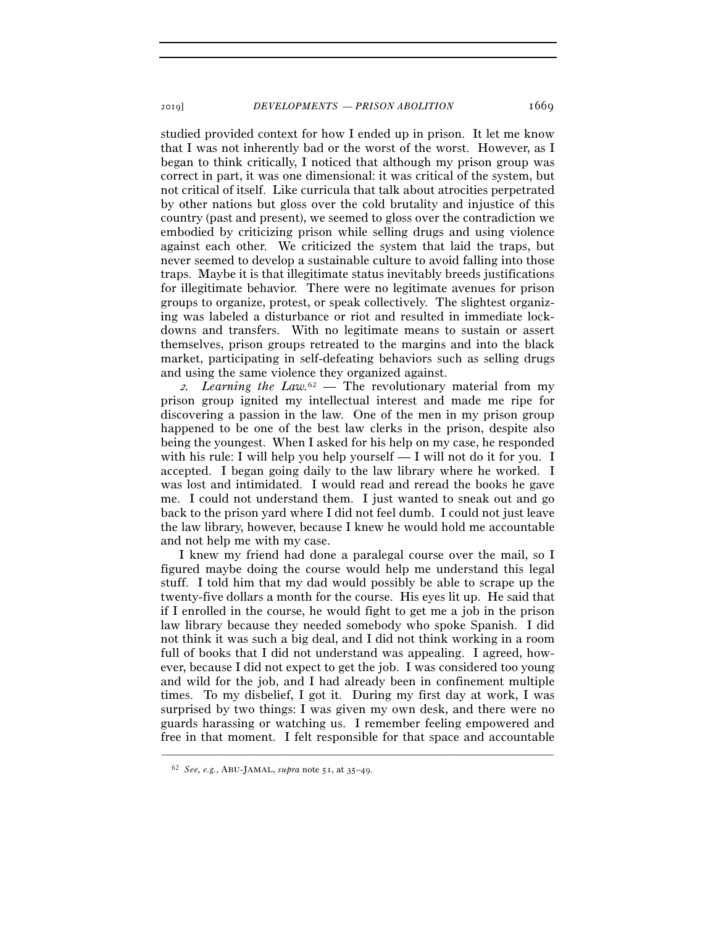studied provided context for how I ended up in prison. It let me know that I was not inherently bad or the worst of the worst. However, as I began to think critically, I noticed that although my prison group was correct in part, it was one dimensional: it was critical of the system, but not critical of itself. Like curricula that talk about atrocities perpetrated by other nations but gloss over the cold brutality and injustice of this country (past and present), we seemed to gloss over the contradiction we embodied by criticizing prison while selling drugs and using violence against each other. We criticized the system that laid the traps, but never seemed to develop a sustainable culture to avoid falling into those traps. Maybe it is that illegitimate status inevitably breeds justifications for illegitimate behavior. There were no legitimate avenues for prison groups to organize, protest, or speak collectively. The slightest organizing was labeled a disturbance or riot and resulted in immediate lockdowns and transfers. With no legitimate means to sustain or assert themselves, prison groups retreated to the margins and into the black market, participating in self-defeating behaviors such as selling drugs and using the same violence they organized against.

<sup>2</sup>*. Learning the Law.*62 *—* The revolutionary material from my prison group ignited my intellectual interest and made me ripe for discovering a passion in the law. One of the men in my prison group happened to be one of the best law clerks in the prison, despite also being the youngest. When I asked for his help on my case, he responded with his rule: I will help you help yourself — I will not do it for you. I accepted. I began going daily to the law library where he worked. I was lost and intimidated. I would read and reread the books he gave me. I could not understand them. I just wanted to sneak out and go back to the prison yard where I did not feel dumb. I could not just leave the law library, however, because I knew he would hold me accountable and not help me with my case.

I knew my friend had done a paralegal course over the mail, so I figured maybe doing the course would help me understand this legal stuff. I told him that my dad would possibly be able to scrape up the twenty-five dollars a month for the course. His eyes lit up. He said that if I enrolled in the course, he would fight to get me a job in the prison law library because they needed somebody who spoke Spanish. I did not think it was such a big deal, and I did not think working in a room full of books that I did not understand was appealing. I agreed, however, because I did not expect to get the job. I was considered too young and wild for the job, and I had already been in confinement multiple times. To my disbelief, I got it. During my first day at work, I was surprised by two things: I was given my own desk, and there were no guards harassing or watching us. I remember feeling empowered and free in that moment. I felt responsible for that space and accountable

<sup>62</sup> *See, e.g.*, ABU-JAMAL, *supra* note 51, at 35–49.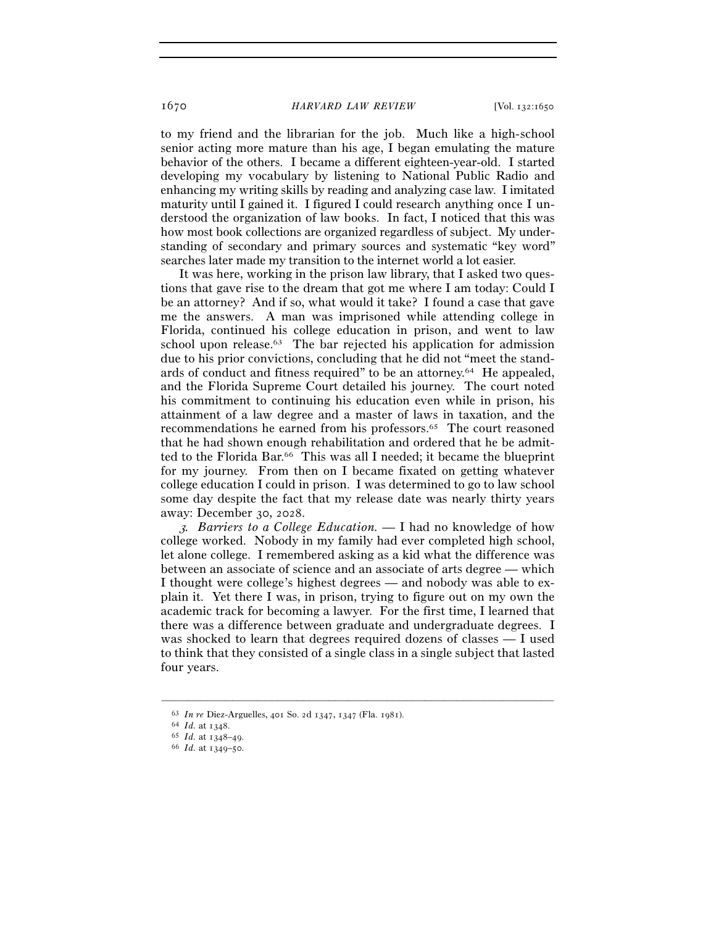to my friend and the librarian for the job. Much like a high-school senior acting more mature than his age, I began emulating the mature behavior of the others. I became a different eighteen-year-old. I started developing my vocabulary by listening to National Public Radio and enhancing my writing skills by reading and analyzing case law. I imitated maturity until I gained it. I figured I could research anything once I understood the organization of law books. In fact, I noticed that this was how most book collections are organized regardless of subject. My understanding of secondary and primary sources and systematic "key word" searches later made my transition to the internet world a lot easier.

It was here, working in the prison law library, that I asked two questions that gave rise to the dream that got me where I am today: Could I be an attorney? And if so, what would it take? I found a case that gave me the answers. A man was imprisoned while attending college in Florida, continued his college education in prison, and went to law school upon release.<sup>63</sup> The bar rejected his application for admission due to his prior convictions, concluding that he did not "meet the standards of conduct and fitness required" to be an attorney.64 He appealed, and the Florida Supreme Court detailed his journey. The court noted his commitment to continuing his education even while in prison, his attainment of a law degree and a master of laws in taxation, and the recommendations he earned from his professors.65 The court reasoned that he had shown enough rehabilitation and ordered that he be admitted to the Florida Bar.66 This was all I needed; it became the blueprint for my journey. From then on I became fixated on getting whatever college education I could in prison. I was determined to go to law school some day despite the fact that my release date was nearly thirty years away: December 30, 2028.

<sup>3</sup>*. Barriers to a College Education. —* I had no knowledge of how college worked. Nobody in my family had ever completed high school, let alone college. I remembered asking as a kid what the difference was between an associate of science and an associate of arts degree — which I thought were college's highest degrees — and nobody was able to explain it. Yet there I was, in prison, trying to figure out on my own the academic track for becoming a lawyer. For the first time, I learned that there was a difference between graduate and undergraduate degrees. I was shocked to learn that degrees required dozens of classes — I used to think that they consisted of a single class in a single subject that lasted four years.

<sup>63</sup> *In re* Diez-Arguelles, 401 So. 2d 1347, 1347 (Fla. <sup>1981</sup>). 64 *Id.* at <sup>1348</sup>. 65 *Id.* at 1348–<sup>49</sup>. 66 *Id.* at 1349–50.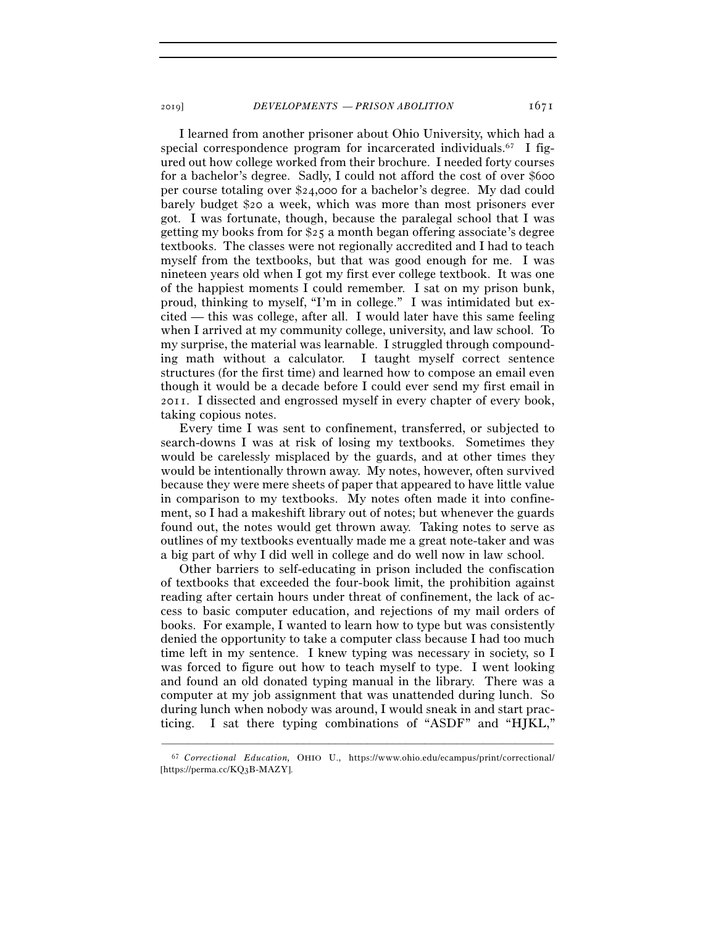I learned from another prisoner about Ohio University, which had a special correspondence program for incarcerated individuals.67 I figured out how college worked from their brochure. I needed forty courses for a bachelor's degree. Sadly, I could not afford the cost of over \$600 per course totaling over \$24,000 for a bachelor's degree. My dad could barely budget \$20 a week, which was more than most prisoners ever got. I was fortunate, though, because the paralegal school that I was getting my books from for \$25 a month began offering associate's degree textbooks. The classes were not regionally accredited and I had to teach myself from the textbooks, but that was good enough for me. I was nineteen years old when I got my first ever college textbook. It was one of the happiest moments I could remember. I sat on my prison bunk, proud, thinking to myself, "I'm in college." I was intimidated but excited — this was college, after all. I would later have this same feeling when I arrived at my community college, university, and law school. To my surprise, the material was learnable. I struggled through compounding math without a calculator. I taught myself correct sentence structures (for the first time) and learned how to compose an email even though it would be a decade before I could ever send my first email in 2011. I dissected and engrossed myself in every chapter of every book, taking copious notes.

Every time I was sent to confinement, transferred, or subjected to search-downs I was at risk of losing my textbooks. Sometimes they would be carelessly misplaced by the guards, and at other times they would be intentionally thrown away. My notes, however, often survived because they were mere sheets of paper that appeared to have little value in comparison to my textbooks. My notes often made it into confinement, so I had a makeshift library out of notes; but whenever the guards found out, the notes would get thrown away. Taking notes to serve as outlines of my textbooks eventually made me a great note-taker and was a big part of why I did well in college and do well now in law school.

Other barriers to self-educating in prison included the confiscation of textbooks that exceeded the four-book limit, the prohibition against reading after certain hours under threat of confinement, the lack of access to basic computer education, and rejections of my mail orders of books. For example, I wanted to learn how to type but was consistently denied the opportunity to take a computer class because I had too much time left in my sentence. I knew typing was necessary in society, so I was forced to figure out how to teach myself to type. I went looking and found an old donated typing manual in the library. There was a computer at my job assignment that was unattended during lunch. So during lunch when nobody was around, I would sneak in and start practicing. I sat there typing combinations of "ASDF" and "HJKL,"

<sup>–––––––––––––––––––––––––––––––––––––––––––––––––––––––––––––</sup> 67 *Correctional Education,* OHIO U., https://www.ohio.edu/ecampus/print/correctional/ [https://perma.cc/KQ3B-MAZY].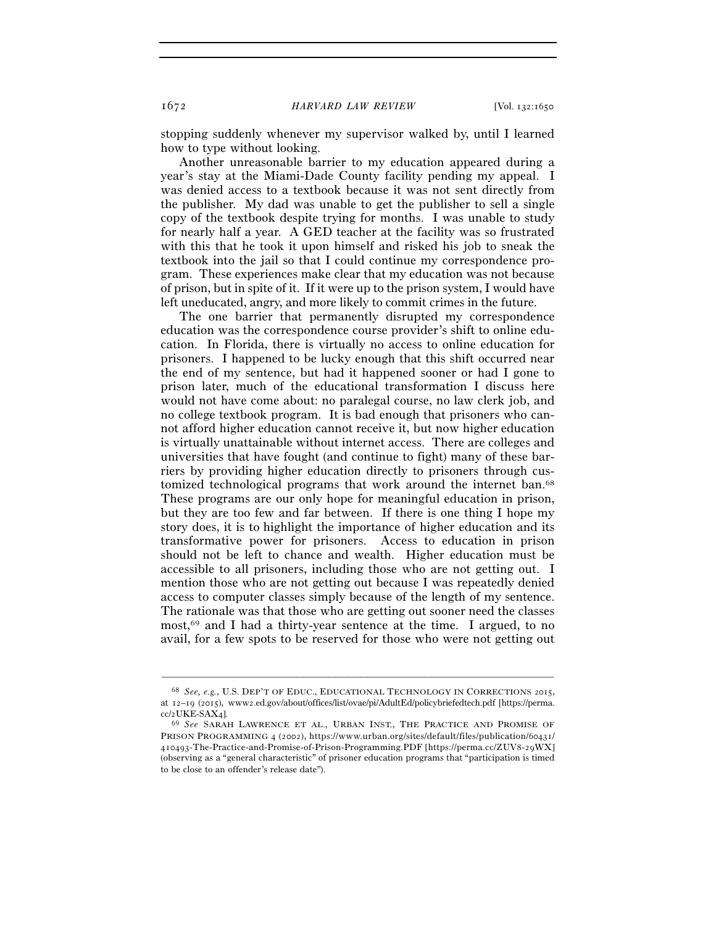stopping suddenly whenever my supervisor walked by, until I learned how to type without looking.

Another unreasonable barrier to my education appeared during a year's stay at the Miami-Dade County facility pending my appeal. I was denied access to a textbook because it was not sent directly from the publisher. My dad was unable to get the publisher to sell a single copy of the textbook despite trying for months. I was unable to study for nearly half a year. A GED teacher at the facility was so frustrated with this that he took it upon himself and risked his job to sneak the textbook into the jail so that I could continue my correspondence program. These experiences make clear that my education was not because of prison, but in spite of it. If it were up to the prison system, I would have left uneducated, angry, and more likely to commit crimes in the future.

The one barrier that permanently disrupted my correspondence education was the correspondence course provider's shift to online education. In Florida, there is virtually no access to online education for prisoners. I happened to be lucky enough that this shift occurred near the end of my sentence, but had it happened sooner or had I gone to prison later, much of the educational transformation I discuss here would not have come about: no paralegal course, no law clerk job, and no college textbook program. It is bad enough that prisoners who cannot afford higher education cannot receive it, but now higher education is virtually unattainable without internet access. There are colleges and universities that have fought (and continue to fight) many of these barriers by providing higher education directly to prisoners through customized technological programs that work around the internet ban.68 These programs are our only hope for meaningful education in prison, but they are too few and far between. If there is one thing I hope my story does, it is to highlight the importance of higher education and its transformative power for prisoners. Access to education in prison should not be left to chance and wealth. Higher education must be accessible to all prisoners, including those who are not getting out. I mention those who are not getting out because I was repeatedly denied access to computer classes simply because of the length of my sentence. The rationale was that those who are getting out sooner need the classes most,69 and I had a thirty-year sentence at the time. I argued, to no avail, for a few spots to be reserved for those who were not getting out

<sup>68</sup> *See, e.g.*, U.S. DEP'T OF EDUC., EDUCATIONAL TECHNOLOGY IN CORRECTIONS 2015, at 12–19 (2015), www2.ed.gov/about/offices/list/ovae/pi/AdultEd/policybriefedtech.pdf [https://perma. cc/2UKE-SAX<sup>4</sup>]. 69 *See* SARAH LAWRENCE ET AL., URBAN INST., THE PRACTICE AND PROMISE OF

PRISON PROGRAMMING 4 (2002), https://www.urban.org/sites/default/files/publication/60431/ 410493-The-Practice-and-Promise-of-Prison-Programming.PDF [https://perma.cc/ZUV8-29WX] (observing as a "general characteristic" of prisoner education programs that "participation is timed to be close to an offender's release date").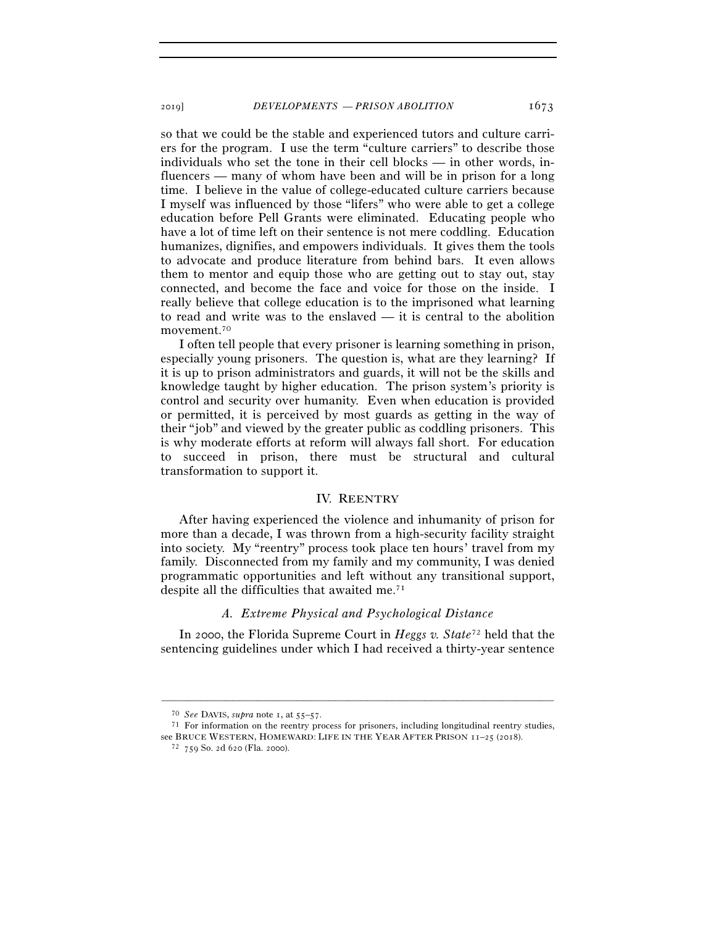so that we could be the stable and experienced tutors and culture carriers for the program. I use the term "culture carriers" to describe those individuals who set the tone in their cell blocks — in other words, influencers — many of whom have been and will be in prison for a long time. I believe in the value of college-educated culture carriers because I myself was influenced by those "lifers" who were able to get a college education before Pell Grants were eliminated. Educating people who have a lot of time left on their sentence is not mere coddling. Education humanizes, dignifies, and empowers individuals. It gives them the tools to advocate and produce literature from behind bars. It even allows them to mentor and equip those who are getting out to stay out, stay connected, and become the face and voice for those on the inside. I really believe that college education is to the imprisoned what learning to read and write was to the enslaved — it is central to the abolition movement.70

I often tell people that every prisoner is learning something in prison, especially young prisoners. The question is, what are they learning? If it is up to prison administrators and guards, it will not be the skills and knowledge taught by higher education. The prison system's priority is control and security over humanity. Even when education is provided or permitted, it is perceived by most guards as getting in the way of their "job" and viewed by the greater public as coddling prisoners. This is why moderate efforts at reform will always fall short. For education to succeed in prison, there must be structural and cultural transformation to support it.

#### IV. REENTRY

After having experienced the violence and inhumanity of prison for more than a decade, I was thrown from a high-security facility straight into society. My "reentry" process took place ten hours' travel from my family. Disconnected from my family and my community, I was denied programmatic opportunities and left without any transitional support, despite all the difficulties that awaited me.71

#### *A. Extreme Physical and Psychological Distance*

In 2000, the Florida Supreme Court in *Heggs v. State*72 held that the sentencing guidelines under which I had received a thirty-year sentence

<sup>70</sup> *See* DAVIS, *supra* note 1, at 55–<sup>57</sup>. 71 For information on the reentry process for prisoners, including longitudinal reentry studies, see BRUCE WESTERN, HOMEWARD: LIFE IN THE YEAR AFTER PRISON  $11-25$  (2018). <sup>72</sup> 759 So. 2d 620 (Fla. 2000).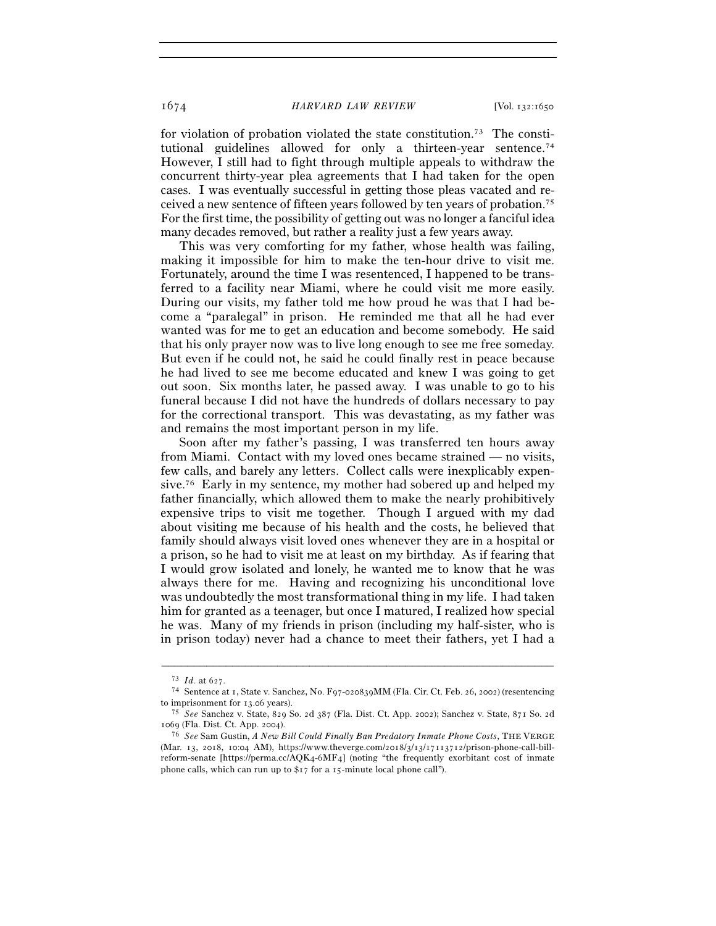for violation of probation violated the state constitution.73 The constitutional guidelines allowed for only a thirteen-year sentence.<sup>74</sup> However, I still had to fight through multiple appeals to withdraw the concurrent thirty-year plea agreements that I had taken for the open cases. I was eventually successful in getting those pleas vacated and received a new sentence of fifteen years followed by ten years of probation.75 For the first time, the possibility of getting out was no longer a fanciful idea many decades removed, but rather a reality just a few years away.

This was very comforting for my father, whose health was failing, making it impossible for him to make the ten-hour drive to visit me. Fortunately, around the time I was resentenced, I happened to be transferred to a facility near Miami, where he could visit me more easily. During our visits, my father told me how proud he was that I had become a "paralegal" in prison. He reminded me that all he had ever wanted was for me to get an education and become somebody. He said that his only prayer now was to live long enough to see me free someday. But even if he could not, he said he could finally rest in peace because he had lived to see me become educated and knew I was going to get out soon. Six months later, he passed away. I was unable to go to his funeral because I did not have the hundreds of dollars necessary to pay for the correctional transport. This was devastating, as my father was and remains the most important person in my life.

Soon after my father's passing, I was transferred ten hours away from Miami. Contact with my loved ones became strained — no visits, few calls, and barely any letters. Collect calls were inexplicably expensive.76 Early in my sentence, my mother had sobered up and helped my father financially, which allowed them to make the nearly prohibitively expensive trips to visit me together. Though I argued with my dad about visiting me because of his health and the costs, he believed that family should always visit loved ones whenever they are in a hospital or a prison, so he had to visit me at least on my birthday. As if fearing that I would grow isolated and lonely, he wanted me to know that he was always there for me. Having and recognizing his unconditional love was undoubtedly the most transformational thing in my life. I had taken him for granted as a teenager, but once I matured, I realized how special he was. Many of my friends in prison (including my half-sister, who is in prison today) never had a chance to meet their fathers, yet I had a

<sup>73</sup> *Id.* at <sup>627</sup>. 74 Sentence at <sup>1</sup>, State v. Sanchez, No. F97-020839MM (Fla. Cir. Ct. Feb. 26, 2002) (resentencing to imprisonment for 13.<sup>06</sup> years). 75 *See* Sanchez v. State, 829 So. 2d 387 (Fla. Dist. Ct. App. 2002); Sanchez v. State, 871 So. 2<sup>d</sup>

<sup>1069</sup> (Fla. Dist. Ct. App. <sup>2004</sup>). 76 *See* Sam Gustin, *A New Bill Could Finally Ban Predatory Inmate Phone Costs*, THE VERGE

<sup>(</sup>Mar. 13, 2018, 10:04 AM), https://www.theverge.com/2018/3/13/17113712/prison-phone-call-billreform-senate [https://perma.cc/AQK4-6MF4] (noting "the frequently exorbitant cost of inmate phone calls, which can run up to \$17 for a 15-minute local phone call").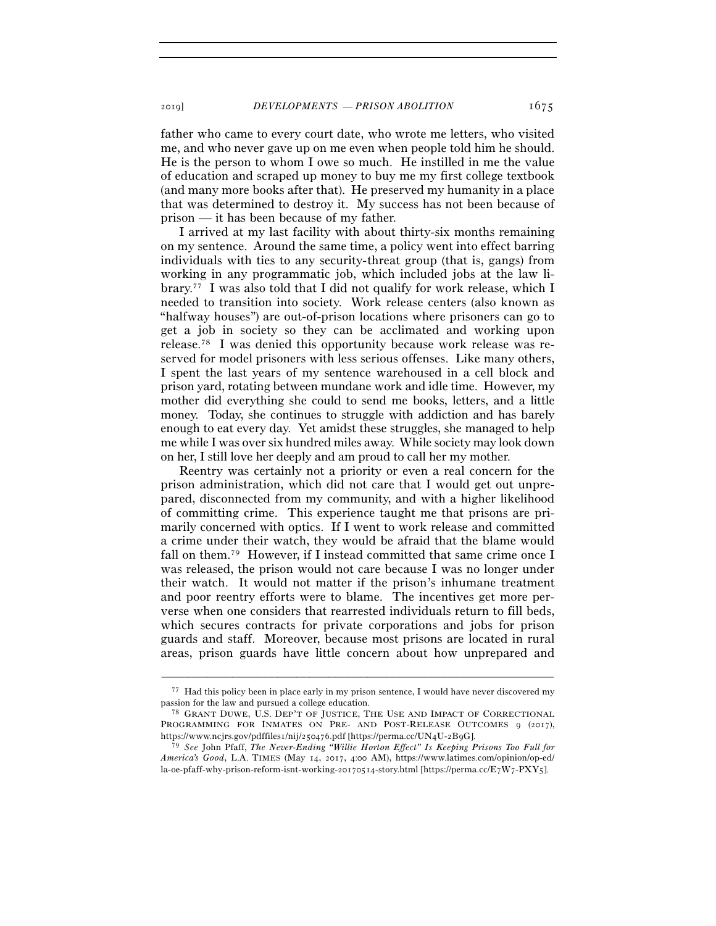father who came to every court date, who wrote me letters, who visited me, and who never gave up on me even when people told him he should. He is the person to whom I owe so much. He instilled in me the value of education and scraped up money to buy me my first college textbook (and many more books after that). He preserved my humanity in a place that was determined to destroy it. My success has not been because of prison — it has been because of my father.

I arrived at my last facility with about thirty-six months remaining on my sentence. Around the same time, a policy went into effect barring individuals with ties to any security-threat group (that is, gangs) from working in any programmatic job, which included jobs at the law library.77 I was also told that I did not qualify for work release, which I needed to transition into society. Work release centers (also known as "halfway houses") are out-of-prison locations where prisoners can go to get a job in society so they can be acclimated and working upon release.78 I was denied this opportunity because work release was reserved for model prisoners with less serious offenses. Like many others, I spent the last years of my sentence warehoused in a cell block and prison yard, rotating between mundane work and idle time. However, my mother did everything she could to send me books, letters, and a little money. Today, she continues to struggle with addiction and has barely enough to eat every day. Yet amidst these struggles, she managed to help me while I was over six hundred miles away. While society may look down on her, I still love her deeply and am proud to call her my mother.

Reentry was certainly not a priority or even a real concern for the prison administration, which did not care that I would get out unprepared, disconnected from my community, and with a higher likelihood of committing crime. This experience taught me that prisons are primarily concerned with optics. If I went to work release and committed a crime under their watch, they would be afraid that the blame would fall on them.79 However, if I instead committed that same crime once I was released, the prison would not care because I was no longer under their watch. It would not matter if the prison's inhumane treatment and poor reentry efforts were to blame. The incentives get more perverse when one considers that rearrested individuals return to fill beds, which secures contracts for private corporations and jobs for prison guards and staff. Moreover, because most prisons are located in rural areas, prison guards have little concern about how unprepared and

<sup>–––––––––––––––––––––––––––––––––––––––––––––––––––––––––––––</sup> 77 Had this policy been in place early in my prison sentence, I would have never discovered my passion for the law and pursued a college education.<br><sup>78</sup> GRANT DUWE, U.S. DEP'T OF JUSTICE, THE USE AND IMPACT OF CORRECTIONAL

PROGRAMMING FOR INMATES ON PRE- AND POST-RELEASE OUTCOMES 9 (2017), https://www.ncjrs.gov/pdffiles1/nij/250476.pdf [https://perma.cc/UN4U-2B9G].

<sup>79</sup> *See* John Pfaff, *The Never-Ending "Willie Horton Effect" Is Keeping Prisons Too Full for America's Good*, L.A. TIMES (May 14, 2017, 4:00 AM), https://www.latimes.com/opinion/op-ed/ la-oe-pfaff-why-prison-reform-isnt-working-20170514-story.html [https://perma.cc/E7W7-PXY5].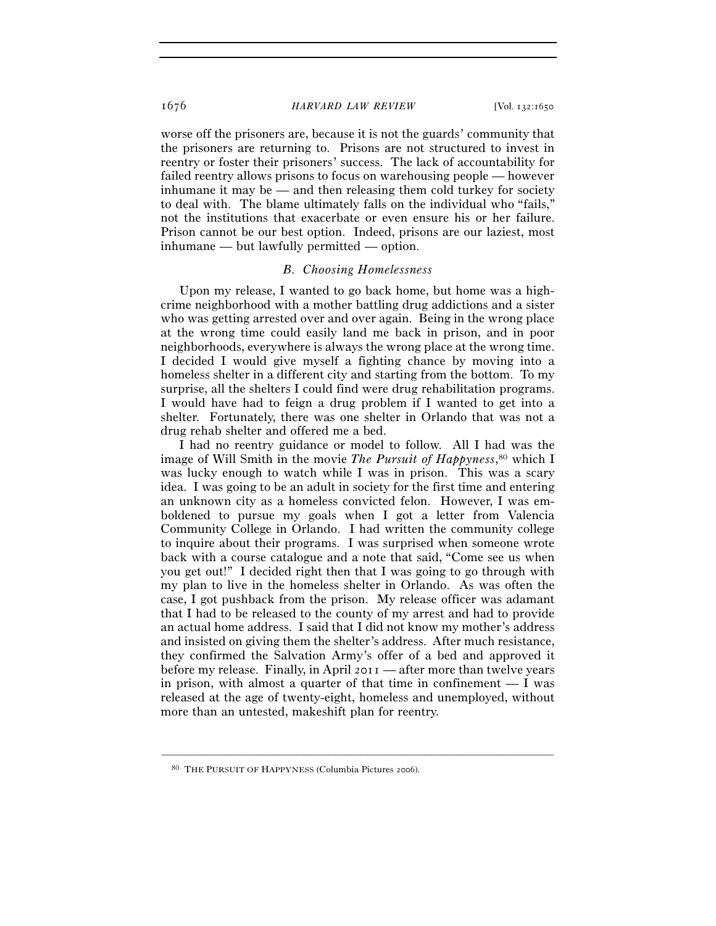worse off the prisoners are, because it is not the guards' community that the prisoners are returning to. Prisons are not structured to invest in reentry or foster their prisoners' success. The lack of accountability for failed reentry allows prisons to focus on warehousing people — however inhumane it may be — and then releasing them cold turkey for society to deal with. The blame ultimately falls on the individual who "fails," not the institutions that exacerbate or even ensure his or her failure. Prison cannot be our best option. Indeed, prisons are our laziest, most inhumane — but lawfully permitted — option.

# *B. Choosing Homelessness*

Upon my release, I wanted to go back home, but home was a highcrime neighborhood with a mother battling drug addictions and a sister who was getting arrested over and over again. Being in the wrong place at the wrong time could easily land me back in prison, and in poor neighborhoods, everywhere is always the wrong place at the wrong time. I decided I would give myself a fighting chance by moving into a homeless shelter in a different city and starting from the bottom. To my surprise, all the shelters I could find were drug rehabilitation programs. I would have had to feign a drug problem if I wanted to get into a shelter. Fortunately, there was one shelter in Orlando that was not a drug rehab shelter and offered me a bed.

I had no reentry guidance or model to follow. All I had was the image of Will Smith in the movie *The Pursuit of Happyness*, 80 which I was lucky enough to watch while I was in prison. This was a scary idea. I was going to be an adult in society for the first time and entering an unknown city as a homeless convicted felon. However, I was emboldened to pursue my goals when I got a letter from Valencia Community College in Orlando. I had written the community college to inquire about their programs. I was surprised when someone wrote back with a course catalogue and a note that said, "Come see us when you get out!" I decided right then that I was going to go through with my plan to live in the homeless shelter in Orlando. As was often the case, I got pushback from the prison. My release officer was adamant that I had to be released to the county of my arrest and had to provide an actual home address. I said that I did not know my mother's address and insisted on giving them the shelter's address. After much resistance, they confirmed the Salvation Army's offer of a bed and approved it before my release. Finally, in April 2011 — after more than twelve years in prison, with almost a quarter of that time in confinement  $- I$  was released at the age of twenty-eight, homeless and unemployed, without more than an untested, makeshift plan for reentry.

<sup>80</sup> THE PURSUIT OF HAPPYNESS (Columbia Pictures 2006).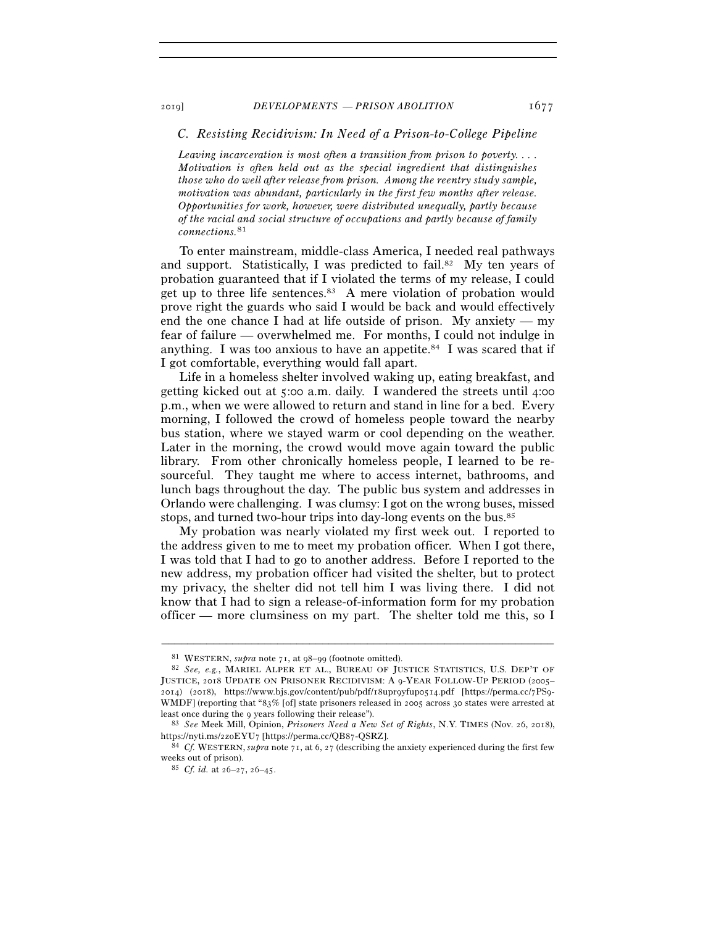# *C. Resisting Recidivism: In Need of a Prison-to-College Pipeline*

*Leaving incarceration is most often a transition from prison to poverty.... Motivation is often held out as the special ingredient that distinguishes those who do well after release from prison. Among the reentry study sample, motivation was abundant, particularly in the first few months after release. Opportunities for work, however, were distributed unequally, partly because of the racial and social structure of occupations and partly because of family connections.*81

To enter mainstream, middle-class America, I needed real pathways and support. Statistically, I was predicted to fail.<sup>82</sup> My ten years of probation guaranteed that if I violated the terms of my release, I could get up to three life sentences.<sup>83</sup> A mere violation of probation would prove right the guards who said I would be back and would effectively end the one chance I had at life outside of prison. My anxiety — my fear of failure — overwhelmed me. For months, I could not indulge in anything. I was too anxious to have an appetite.<sup>84</sup> I was scared that if I got comfortable, everything would fall apart.

Life in a homeless shelter involved waking up, eating breakfast, and getting kicked out at 5:00 a.m. daily. I wandered the streets until 4:00 p.m., when we were allowed to return and stand in line for a bed. Every morning, I followed the crowd of homeless people toward the nearby bus station, where we stayed warm or cool depending on the weather. Later in the morning, the crowd would move again toward the public library. From other chronically homeless people, I learned to be resourceful. They taught me where to access internet, bathrooms, and lunch bags throughout the day. The public bus system and addresses in Orlando were challenging. I was clumsy: I got on the wrong buses, missed stops, and turned two-hour trips into day-long events on the bus.85

My probation was nearly violated my first week out. I reported to the address given to me to meet my probation officer. When I got there, I was told that I had to go to another address. Before I reported to the new address, my probation officer had visited the shelter, but to protect my privacy, the shelter did not tell him I was living there. I did not know that I had to sign a release-of-information form for my probation officer — more clumsiness on my part. The shelter told me this, so I

<sup>81</sup> WESTERN, *supra* note 71, at 98–<sup>99</sup>(footnote omitted). 82 *See, e.g.*, MARIEL ALPER ET AL., BUREAU OF JUSTICE STATISTICS, U.S. DEP'T OF JUSTICE, 2018 UPDATE ON PRISONER RECIDIVISM: A 9-YEAR FOLLOW-UP PERIOD (2005– 2014) (2018), https://www.bjs.gov/content/pub/pdf/18upr9yfup0514.pdf [https://perma.cc/7PS9- WMDF] (reporting that "83% [of] state prisoners released in 2005 across 30 states were arrested at least once during the <sup>9</sup> years following their release"). 83 *See* Meek Mill, Opinion, *Prisoners Need a New Set of Rights*, N.Y. TIMES (Nov. 26, 2018),

https://nyti.ms/2zoEYU7 [https://perma.cc/QB<sup>87</sup>-QSRZ]. 84 *Cf.* WESTERN, *supra* note 71, at 6, 27 (describing the anxiety experienced during the first few

weeks out of prison). 85 *Cf. id.* at 26–27, 26–45.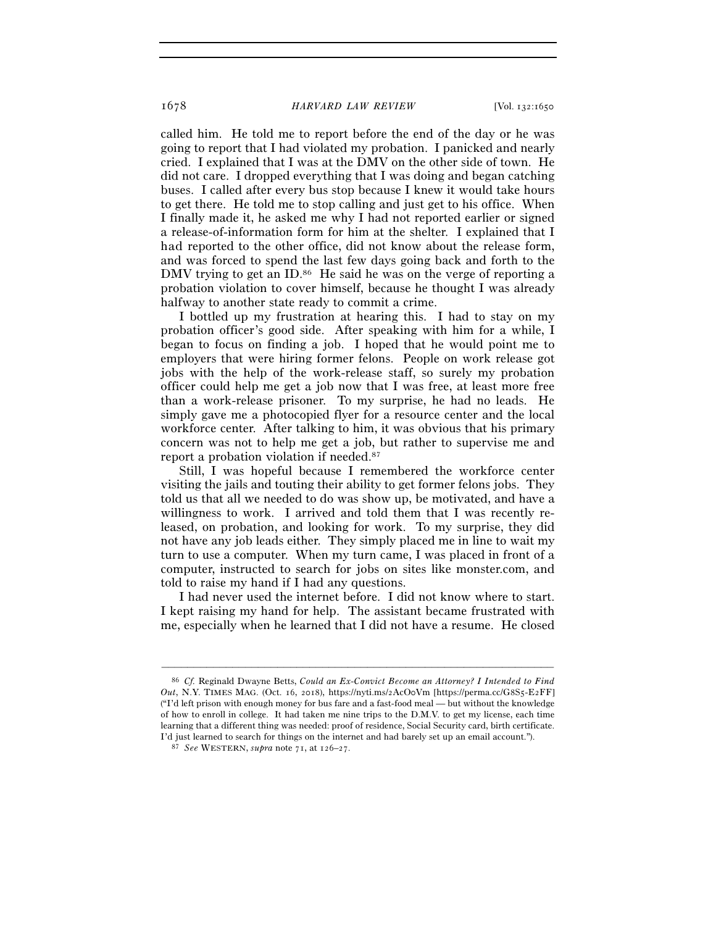called him. He told me to report before the end of the day or he was going to report that I had violated my probation. I panicked and nearly cried. I explained that I was at the DMV on the other side of town. He did not care. I dropped everything that I was doing and began catching buses. I called after every bus stop because I knew it would take hours to get there. He told me to stop calling and just get to his office. When I finally made it, he asked me why I had not reported earlier or signed a release-of-information form for him at the shelter. I explained that I had reported to the other office, did not know about the release form, and was forced to spend the last few days going back and forth to the DMV trying to get an ID.<sup>86</sup> He said he was on the verge of reporting a probation violation to cover himself, because he thought I was already halfway to another state ready to commit a crime.

I bottled up my frustration at hearing this. I had to stay on my probation officer's good side. After speaking with him for a while, I began to focus on finding a job. I hoped that he would point me to employers that were hiring former felons. People on work release got jobs with the help of the work-release staff, so surely my probation officer could help me get a job now that I was free, at least more free than a work-release prisoner. To my surprise, he had no leads. He simply gave me a photocopied flyer for a resource center and the local workforce center. After talking to him, it was obvious that his primary concern was not to help me get a job, but rather to supervise me and report a probation violation if needed.87

Still, I was hopeful because I remembered the workforce center visiting the jails and touting their ability to get former felons jobs. They told us that all we needed to do was show up, be motivated, and have a willingness to work. I arrived and told them that I was recently released, on probation, and looking for work. To my surprise, they did not have any job leads either. They simply placed me in line to wait my turn to use a computer. When my turn came, I was placed in front of a computer, instructed to search for jobs on sites like monster.com, and told to raise my hand if I had any questions.

I had never used the internet before. I did not know where to start. I kept raising my hand for help. The assistant became frustrated with me, especially when he learned that I did not have a resume. He closed

<sup>86</sup> *Cf.* Reginald Dwayne Betts, *Could an Ex-Convict Become an Attorney? I Intended to Find Out*, N.Y. TIMES MAG. (Oct. 16, 2018), https://nyti.ms/2AcO0Vm [https://perma.cc/G8S5-E2FF] ("I'd left prison with enough money for bus fare and a fast-food meal — but without the knowledge of how to enroll in college. It had taken me nine trips to the D.M.V. to get my license, each time learning that a different thing was needed: proof of residence, Social Security card, birth certificate. I'd just learned to search for things on the internet and had barely set up an email account."). 87 *See* WESTERN, *supra* note 71, at 126–27.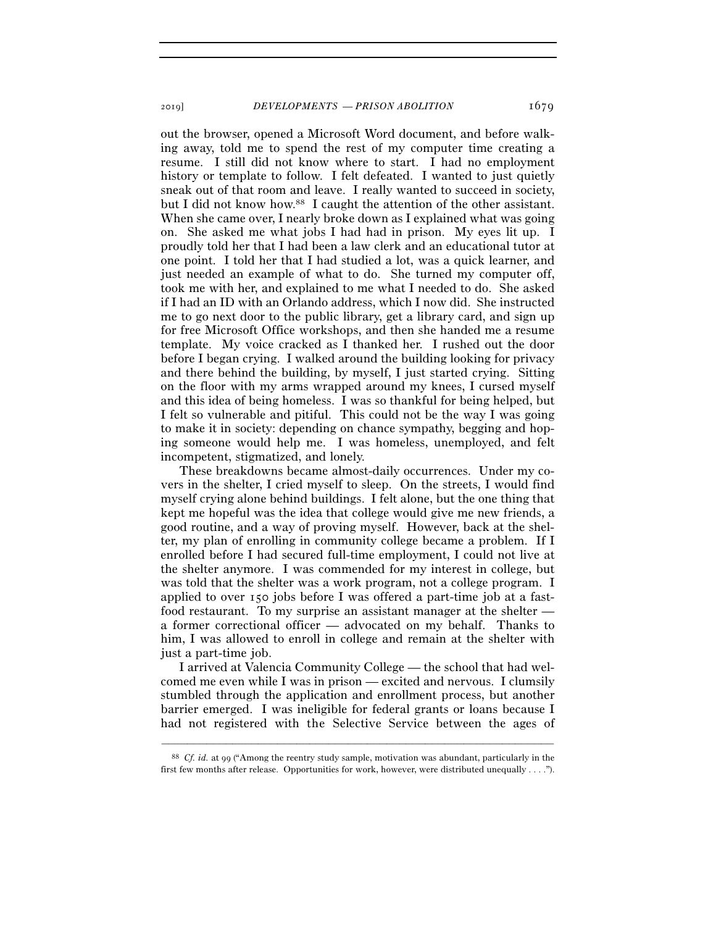out the browser, opened a Microsoft Word document, and before walking away, told me to spend the rest of my computer time creating a resume. I still did not know where to start. I had no employment history or template to follow. I felt defeated. I wanted to just quietly sneak out of that room and leave. I really wanted to succeed in society, but I did not know how.88 I caught the attention of the other assistant. When she came over, I nearly broke down as I explained what was going on. She asked me what jobs I had had in prison. My eyes lit up. I proudly told her that I had been a law clerk and an educational tutor at one point. I told her that I had studied a lot, was a quick learner, and just needed an example of what to do. She turned my computer off, took me with her, and explained to me what I needed to do. She asked if I had an ID with an Orlando address, which I now did. She instructed me to go next door to the public library, get a library card, and sign up for free Microsoft Office workshops, and then she handed me a resume template. My voice cracked as I thanked her. I rushed out the door before I began crying. I walked around the building looking for privacy and there behind the building, by myself, I just started crying. Sitting on the floor with my arms wrapped around my knees, I cursed myself and this idea of being homeless. I was so thankful for being helped, but I felt so vulnerable and pitiful. This could not be the way I was going to make it in society: depending on chance sympathy, begging and hoping someone would help me. I was homeless, unemployed, and felt incompetent, stigmatized, and lonely.

These breakdowns became almost-daily occurrences. Under my covers in the shelter, I cried myself to sleep. On the streets, I would find myself crying alone behind buildings. I felt alone, but the one thing that kept me hopeful was the idea that college would give me new friends, a good routine, and a way of proving myself. However, back at the shelter, my plan of enrolling in community college became a problem. If I enrolled before I had secured full-time employment, I could not live at the shelter anymore. I was commended for my interest in college, but was told that the shelter was a work program, not a college program. I applied to over 150 jobs before I was offered a part-time job at a fastfood restaurant. To my surprise an assistant manager at the shelter a former correctional officer — advocated on my behalf. Thanks to him, I was allowed to enroll in college and remain at the shelter with just a part-time job.

I arrived at Valencia Community College — the school that had welcomed me even while I was in prison — excited and nervous. I clumsily stumbled through the application and enrollment process, but another barrier emerged. I was ineligible for federal grants or loans because I had not registered with the Selective Service between the ages of

<sup>–––––––––––––––––––––––––––––––––––––––––––––––––––––––––––––</sup> <sup>88</sup> *Cf. id.* at 99 ("Among the reentry study sample, motivation was abundant, particularly in the first few months after release. Opportunities for work, however, were distributed unequally . . . .").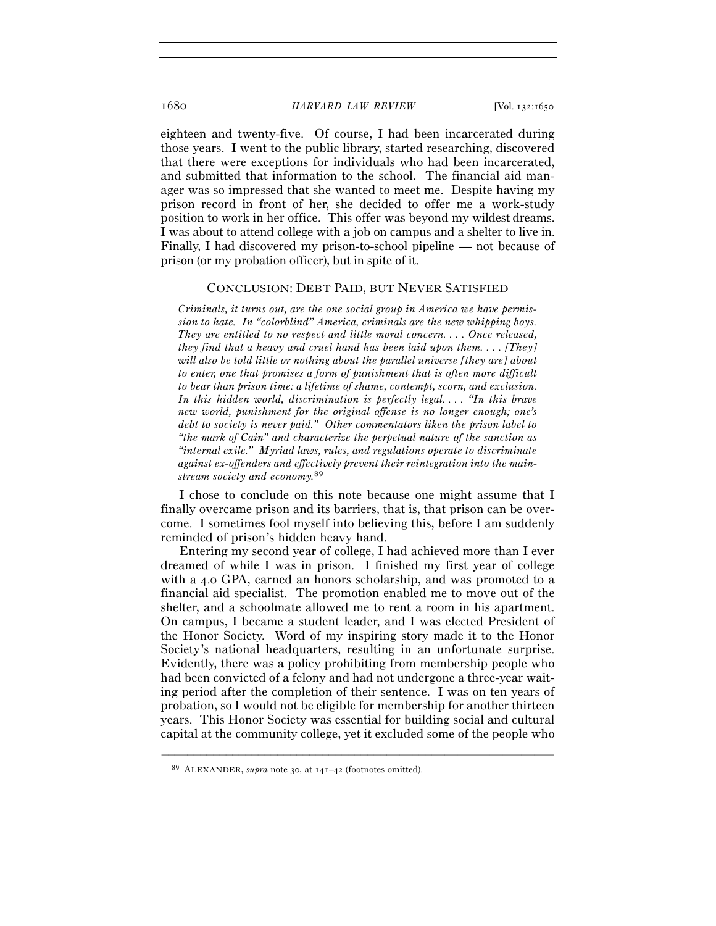eighteen and twenty-five. Of course, I had been incarcerated during those years. I went to the public library, started researching, discovered that there were exceptions for individuals who had been incarcerated, and submitted that information to the school. The financial aid manager was so impressed that she wanted to meet me. Despite having my prison record in front of her, she decided to offer me a work-study position to work in her office. This offer was beyond my wildest dreams. I was about to attend college with a job on campus and a shelter to live in. Finally, I had discovered my prison-to-school pipeline — not because of prison (or my probation officer), but in spite of it.

### CONCLUSION: DEBT PAID, BUT NEVER SATISFIED

*Criminals, it turns out, are the one social group in America we have permission to hate. In "colorblind" America, criminals are the new whipping boys. They are entitled to no respect and little moral concern. . . . Once released, they find that a heavy and cruel hand has been laid upon them. . . . [They] will also be told little or nothing about the parallel universe [they are] about to enter, one that promises a form of punishment that is often more difficult to bear than prison time: a lifetime of shame, contempt, scorn, and exclusion. In this hidden world, discrimination is perfectly legal. . . . "In this brave new world, punishment for the original offense is no longer enough; one's debt to society is never paid." Other commentators liken the prison label to "the mark of Cain" and characterize the perpetual nature of the sanction as "internal exile." Myriad laws, rules, and regulations operate to discriminate against ex-offenders and effectively prevent their reintegration into the mainstream society and economy.*89

I chose to conclude on this note because one might assume that I finally overcame prison and its barriers, that is, that prison can be overcome. I sometimes fool myself into believing this, before I am suddenly reminded of prison's hidden heavy hand.

Entering my second year of college, I had achieved more than I ever dreamed of while I was in prison. I finished my first year of college with a 4.0 GPA, earned an honors scholarship, and was promoted to a financial aid specialist. The promotion enabled me to move out of the shelter, and a schoolmate allowed me to rent a room in his apartment. On campus, I became a student leader, and I was elected President of the Honor Society. Word of my inspiring story made it to the Honor Society's national headquarters, resulting in an unfortunate surprise. Evidently, there was a policy prohibiting from membership people who had been convicted of a felony and had not undergone a three-year waiting period after the completion of their sentence. I was on ten years of probation, so I would not be eligible for membership for another thirteen years. This Honor Society was essential for building social and cultural capital at the community college, yet it excluded some of the people who

<sup>89</sup> ALEXANDER, *supra* note 30, at 141–42 (footnotes omitted).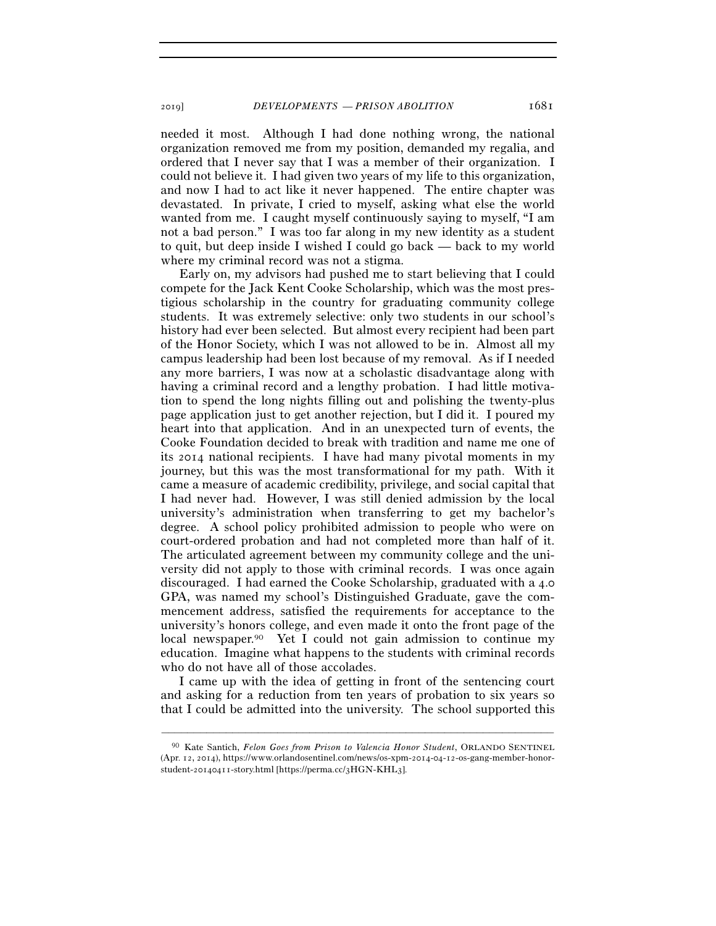needed it most. Although I had done nothing wrong, the national organization removed me from my position, demanded my regalia, and ordered that I never say that I was a member of their organization. I could not believe it. I had given two years of my life to this organization, and now I had to act like it never happened. The entire chapter was devastated. In private, I cried to myself, asking what else the world wanted from me. I caught myself continuously saying to myself, "I am not a bad person." I was too far along in my new identity as a student to quit, but deep inside I wished I could go back — back to my world where my criminal record was not a stigma.

Early on, my advisors had pushed me to start believing that I could compete for the Jack Kent Cooke Scholarship, which was the most prestigious scholarship in the country for graduating community college students. It was extremely selective: only two students in our school's history had ever been selected. But almost every recipient had been part of the Honor Society, which I was not allowed to be in. Almost all my campus leadership had been lost because of my removal. As if I needed any more barriers, I was now at a scholastic disadvantage along with having a criminal record and a lengthy probation. I had little motivation to spend the long nights filling out and polishing the twenty-plus page application just to get another rejection, but I did it. I poured my heart into that application. And in an unexpected turn of events, the Cooke Foundation decided to break with tradition and name me one of its 2014 national recipients. I have had many pivotal moments in my journey, but this was the most transformational for my path. With it came a measure of academic credibility, privilege, and social capital that I had never had. However, I was still denied admission by the local university's administration when transferring to get my bachelor's degree. A school policy prohibited admission to people who were on court-ordered probation and had not completed more than half of it. The articulated agreement between my community college and the university did not apply to those with criminal records. I was once again discouraged. I had earned the Cooke Scholarship, graduated with a 4.0 GPA, was named my school's Distinguished Graduate, gave the commencement address, satisfied the requirements for acceptance to the university's honors college, and even made it onto the front page of the local newspaper.90 Yet I could not gain admission to continue my education. Imagine what happens to the students with criminal records who do not have all of those accolades.

I came up with the idea of getting in front of the sentencing court and asking for a reduction from ten years of probation to six years so that I could be admitted into the university. The school supported this

<sup>90</sup> Kate Santich, *Felon Goes from Prison to Valencia Honor Student*, ORLANDO SENTINEL (Apr. 12, 2014), https://www.orlandosentinel.com/news/os-xpm-2014-04-12-os-gang-member-honorstudent-20140411-story.html [https://perma.cc/3HGN-KHL3].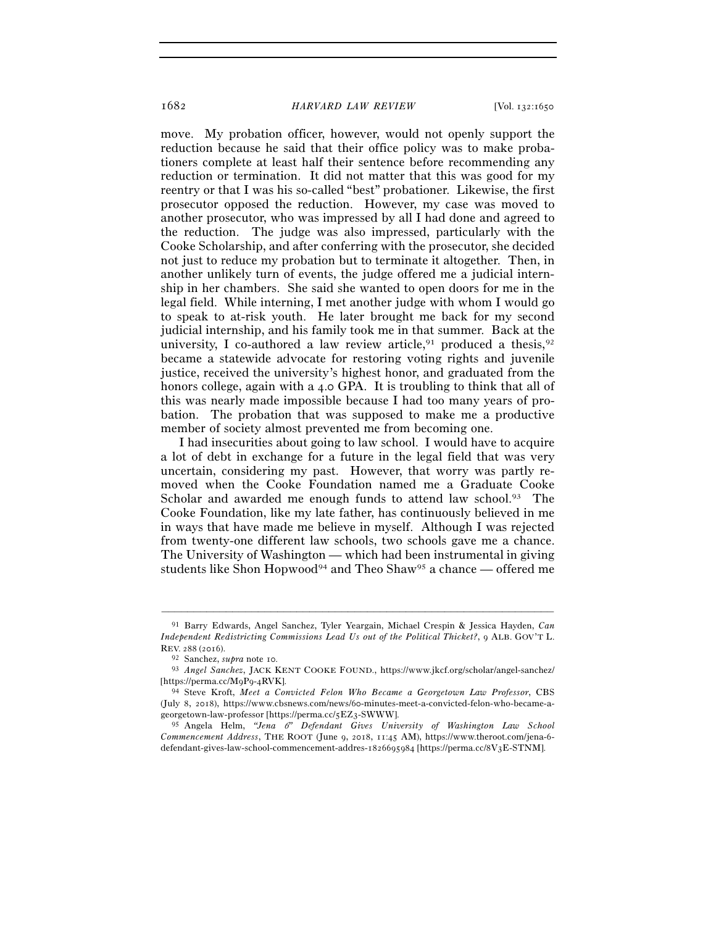move. My probation officer, however, would not openly support the reduction because he said that their office policy was to make probationers complete at least half their sentence before recommending any reduction or termination. It did not matter that this was good for my reentry or that I was his so-called "best" probationer. Likewise, the first prosecutor opposed the reduction. However, my case was moved to another prosecutor, who was impressed by all I had done and agreed to the reduction. The judge was also impressed, particularly with the Cooke Scholarship, and after conferring with the prosecutor, she decided not just to reduce my probation but to terminate it altogether. Then, in another unlikely turn of events, the judge offered me a judicial internship in her chambers. She said she wanted to open doors for me in the legal field. While interning, I met another judge with whom I would go to speak to at-risk youth. He later brought me back for my second judicial internship, and his family took me in that summer. Back at the university, I co-authored a law review article,  $91$  produced a thesis,  $92$ became a statewide advocate for restoring voting rights and juvenile justice, received the university's highest honor, and graduated from the honors college, again with a 4.0 GPA. It is troubling to think that all of this was nearly made impossible because I had too many years of probation. The probation that was supposed to make me a productive member of society almost prevented me from becoming one.

I had insecurities about going to law school. I would have to acquire a lot of debt in exchange for a future in the legal field that was very uncertain, considering my past. However, that worry was partly removed when the Cooke Foundation named me a Graduate Cooke Scholar and awarded me enough funds to attend law school.<sup>93</sup> The Cooke Foundation, like my late father, has continuously believed in me in ways that have made me believe in myself. Although I was rejected from twenty-one different law schools, two schools gave me a chance. The University of Washington — which had been instrumental in giving students like Shon Hopwood<sup>94</sup> and Theo Shaw<sup>95</sup> a chance — offered me

<sup>91</sup> Barry Edwards, Angel Sanchez, Tyler Yeargain, Michael Crespin & Jessica Hayden, *Can Independent Redistricting Commissions Lead Us out of the Political Thicket?*, 9 ALB. GOV'T L.

REV. 288 (2016).<br><sup>92</sup> Sanchez, *supra* note 10.<br><sup>93</sup> *Angel Sanchez*, JACK KENT COOKE FOUND., https://www.jkcf.org/scholar/angel-sanchez/<br>[https://perma.cc/M9P9-4RVK].

<sup>&</sup>lt;sup>94</sup> Steve Kroft, Meet a Convicted Felon Who Became a Georgetown Law Professor, CBS (July 8, 2018), https://www.cbsnews.com/news/60-minutes-meet-a-convicted-felon-who-became-ageorgetown-law-professor [https://perma.cc/5EZ3-SWWW].

<sup>95</sup> Angela Helm, *"Jena* 6*" Defendant Gives University of Washington Law School Commencement Address*, THE ROOT (June 9, 2018, 11:45 AM), https://www.theroot.com/jena-6 defendant-gives-law-school-commencement-addres-1826695984 [https://perma.cc/8V3E-STNM].